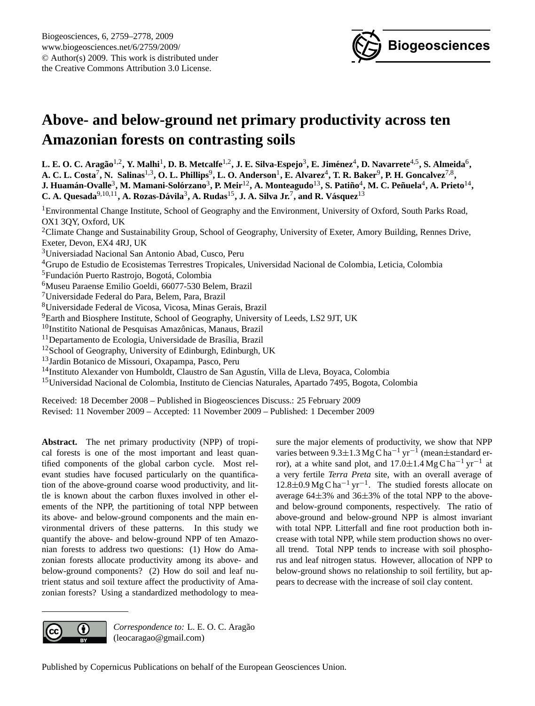

# <span id="page-0-0"></span>**Above- and below-ground net primary productivity across ten Amazonian forests on contrasting soils**

 $L$ **. E. O. C. Aragão** $^{1,2}$ **, Y. Malhi** $^1$ **, D. B. Metcalfe** $^{1,2}$ **, J. E. Silva-Espejo** $^3$ **, E. Jiménez** $^4$ **, D. Navarrete** $^{4,5}$ **, S. Almeida** $^6$ **,** A. C. L. Costa<sup>7</sup>, N. Salinas<sup>1,3</sup>, O. L. Phillips $^9$ , L. O. Anderson<sup>1</sup>, E. Alvarez<sup>4</sup>, T. R. Baker $^9$ , P. H. Goncalvez<sup>7,8</sup>,  ${\bf J.}$  Huamán-Ovalle $^3$ , M. Mamani-Solórzano $^3$ , P. Meir $^{12}$ , A. Monteagudo $^{13}$ , S. Patiño $^4$ , M. C. Peñuela $^4$ , A. Prieto $^{14}$ , C. A. Quesada<sup>9,10,11</sup>, A. Rozas-Dávila<sup>3</sup>, A. Rudas<sup>15</sup>, J. A. Silva Jr.<sup>7</sup>, and R. Vásquez<sup>13</sup>

<sup>1</sup>Environmental Change Institute, School of Geography and the Environment, University of Oxford, South Parks Road, OX1 3QY, Oxford, UK <sup>2</sup>Climate Change and Sustainability Group, School of Geography, University of Exeter, Amory Building, Rennes Drive, Exeter, Devon, EX4 4RJ, UK <sup>3</sup>Universiadad Nacional San Antonio Abad, Cusco, Peru <sup>4</sup>Grupo de Estudio de Ecosistemas Terrestres Tropicales, Universidad Nacional de Colombia, Leticia, Colombia <sup>5</sup> Fundación Puerto Rastrojo, Bogotá, Colombia <sup>6</sup>Museu Paraense Emilio Goeldi, 66077-530 Belem, Brazil <sup>7</sup>Universidade Federal do Para, Belem, Para, Brazil <sup>8</sup>Universidade Federal de Vicosa, Vicosa, Minas Gerais, Brazil <sup>9</sup>Earth and Biosphere Institute, School of Geography, University of Leeds, LS2 9JT, UK  $10$ Institito National de Pesquisas Amazônicas, Manaus, Brazil  $11$ Departamento de Ecologia, Universidade de Brasília, Brazil <sup>12</sup>School of Geography, University of Edinburgh, Edinburgh, UK <sup>13</sup>Jardin Botanico de Missouri, Oxapampa, Pasco, Peru <sup>14</sup>Instituto Alexander von Humboldt, Claustro de San Agustín, Villa de Lleva, Boyaca, Colombia <sup>15</sup>Universidad Nacional de Colombia, Instituto de Ciencias Naturales, Apartado 7495, Bogota, Colombia Received: 18 December 2008 – Published in Biogeosciences Discuss.: 25 February 2009 Revised: 11 November 2009 – Accepted: 11 November 2009 – Published: 1 December 2009

**Abstract.** The net primary productivity (NPP) of tropical forests is one of the most important and least quantified components of the global carbon cycle. Most relevant studies have focused particularly on the quantification of the above-ground coarse wood productivity, and little is known about the carbon fluxes involved in other elements of the NPP, the partitioning of total NPP between its above- and below-ground components and the main environmental drivers of these patterns. In this study we quantify the above- and below-ground NPP of ten Amazonian forests to address two questions: (1) How do Amazonian forests allocate productivity among its above- and below-ground components? (2) How do soil and leaf nutrient status and soil texture affect the productivity of Amazonian forests? Using a standardized methodology to measure the major elements of productivity, we show that NPP varies between  $9.3 \pm 1.3$  Mg C ha<sup>-1</sup> yr<sup>-1</sup> (mean $\pm$ standard error), at a white sand plot, and  $17.0 \pm 1.4$  Mg C ha<sup>-1</sup> yr<sup>-1</sup> at a very fertile *Terra Preta* site, with an overall average of 12.8±0.9 Mg C ha−<sup>1</sup> yr−<sup>1</sup> . The studied forests allocate on average 64±3% and 36±3% of the total NPP to the aboveand below-ground components, respectively. The ratio of above-ground and below-ground NPP is almost invariant with total NPP. Litterfall and fine root production both increase with total NPP, while stem production shows no overall trend. Total NPP tends to increase with soil phosphorus and leaf nitrogen status. However, allocation of NPP to below-ground shows no relationship to soil fertility, but appears to decrease with the increase of soil clay content.



Correspondence to: L. E. O. C. Aragão (leocaragao@gmail.com)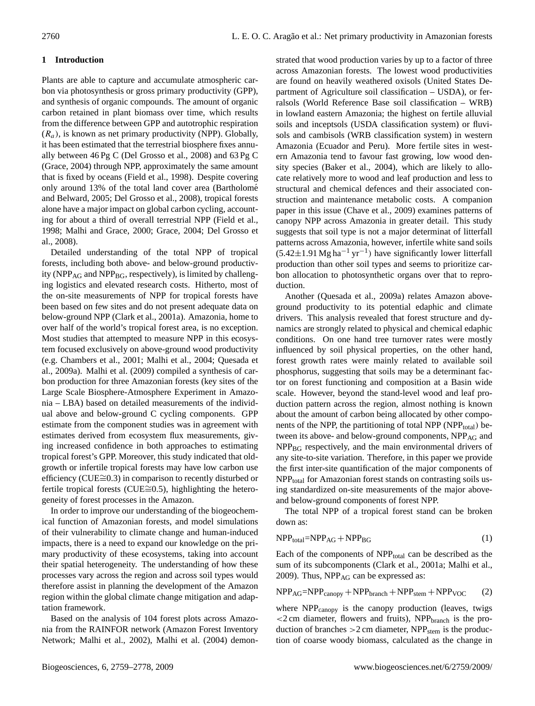# **1 Introduction**

Plants are able to capture and accumulate atmospheric carbon via photosynthesis or gross primary productivity (GPP), and synthesis of organic compounds. The amount of organic carbon retained in plant biomass over time, which results from the difference between GPP and autotrophic respiration  $(R_a)$ , is known as net primary productivity (NPP). Globally, it has been estimated that the terrestrial biosphere fixes annually between 46 Pg C (Del Grosso et al., 2008) and 63 Pg C (Grace, 2004) through NPP, approximately the same amount that is fixed by oceans (Field et al., 1998). Despite covering only around 13% of the total land cover area (Bartholomé and Belward, 2005; Del Grosso et al., 2008), tropical forests alone have a major impact on global carbon cycling, accounting for about a third of overall terrestrial NPP (Field et al., 1998; Malhi and Grace, 2000; Grace, 2004; Del Grosso et al., 2008).

Detailed understanding of the total NPP of tropical forests, including both above- and below-ground productivity ( $NPP_{AG}$  and  $NPP_{BG}$ , respectively), is limited by challenging logistics and elevated research costs. Hitherto, most of the on-site measurements of NPP for tropical forests have been based on few sites and do not present adequate data on below-ground NPP (Clark et al., 2001a). Amazonia, home to over half of the world's tropical forest area, is no exception. Most studies that attempted to measure NPP in this ecosystem focused exclusively on above-ground wood productivity (e.g. Chambers et al., 2001; Malhi et al., 2004; Quesada et al., 2009a). Malhi et al. (2009) compiled a synthesis of carbon production for three Amazonian forests (key sites of the Large Scale Biosphere-Atmosphere Experiment in Amazonia – LBA) based on detailed measurements of the individual above and below-ground C cycling components. GPP estimate from the component studies was in agreement with estimates derived from ecosystem flux measurements, giving increased confidence in both approaches to estimating tropical forest's GPP. Moreover, this study indicated that oldgrowth or infertile tropical forests may have low carbon use efficiency (CUE≅0.3) in comparison to recently disturbed or fertile tropical forests (CUE≅0.5), highlighting the heterogeneity of forest processes in the Amazon.

In order to improve our understanding of the biogeochemical function of Amazonian forests, and model simulations of their vulnerability to climate change and human-induced impacts, there is a need to expand our knowledge on the primary productivity of these ecosystems, taking into account their spatial heterogeneity. The understanding of how these processes vary across the region and across soil types would therefore assist in planning the development of the Amazon region within the global climate change mitigation and adaptation framework.

Based on the analysis of 104 forest plots across Amazonia from the RAINFOR network (Amazon Forest Inventory Network; Malhi et al., 2002), Malhi et al. (2004) demonstrated that wood production varies by up to a factor of three across Amazonian forests. The lowest wood productivities are found on heavily weathered oxisols (United States Department of Agriculture soil classification – USDA), or ferralsols (World Reference Base soil classification – WRB) in lowland eastern Amazonia; the highest on fertile alluvial soils and inceptsols (USDA classification system) or fluvisols and cambisols (WRB classification system) in western Amazonia (Ecuador and Peru). More fertile sites in western Amazonia tend to favour fast growing, low wood density species (Baker et al., 2004), which are likely to allocate relatively more to wood and leaf production and less to structural and chemical defences and their associated construction and maintenance metabolic costs. A companion paper in this issue (Chave et al., 2009) examines patterns of canopy NPP across Amazonia in greater detail. This study suggests that soil type is not a major determinat of litterfall patterns across Amazonia, however, infertile white sand soils  $(5.42 \pm 1.91 \text{ Mg ha}^{-1} \text{ yr}^{-1})$  have significantly lower litterfall production than other soil types and seems to prioritize carbon allocation to photosynthetic organs over that to reproduction.

Another (Quesada et al., 2009a) relates Amazon aboveground productivity to its potential edaphic and climate drivers. This analysis revealed that forest structure and dynamics are strongly related to physical and chemical edaphic conditions. On one hand tree turnover rates were mostly influenced by soil physical properties, on the other hand, forest growth rates were mainly related to available soil phosphorus, suggesting that soils may be a determinant factor on forest functioning and composition at a Basin wide scale. However, beyond the stand-level wood and leaf production pattern across the region, almost nothing is known about the amount of carbon being allocated by other components of the NPP, the partitioning of total NPP (NPP $_{total}$ ) between its above- and below-ground components,  $NPP_{AG}$  and NPP<sub>BG</sub> respectively, and the main environmental drivers of any site-to-site variation. Therefore, in this paper we provide the first inter-site quantification of the major components of NPP<sub>total</sub> for Amazonian forest stands on contrasting soils using standardized on-site measurements of the major aboveand below-ground components of forest NPP.

The total NPP of a tropical forest stand can be broken down as:

$$
NPPtotal=NPPAG + NPPBG
$$
 (1)

Each of the components of  $NPP_{total}$  can be described as the sum of its subcomponents (Clark et al., 2001a; Malhi et al., 2009). Thus, NPP<sub>AG</sub> can be expressed as:

$$
NPP_{AG} = NPP_{canopy} + NPP_{branch} + NPP_{stem} + NPP_{VOC}
$$
 (2)

where NPP<sub>canopy</sub> is the canopy production (leaves, twigs  $<$ 2 cm diameter, flowers and fruits), NPP<sub>branch</sub> is the production of branches  $>2$  cm diameter, NPP<sub>stem</sub> is the production of coarse woody biomass, calculated as the change in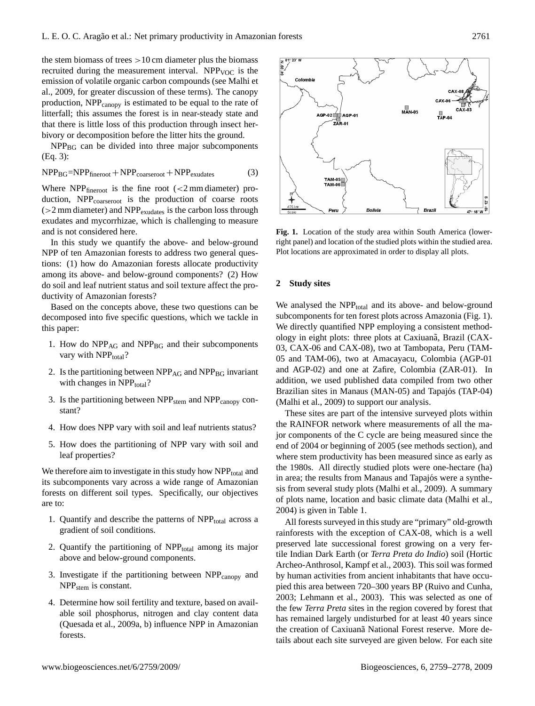the stem biomass of trees  $>10$  cm diameter plus the biomass recruited during the measurement interval. NPP<sub>VOC</sub> is the emission of volatile organic carbon compounds (see Malhi et al., 2009, for greater discussion of these terms). The canopy production, NPP<sub>canopy</sub> is estimated to be equal to the rate of litterfall; this assumes the forest is in near-steady state and that there is little loss of this production through insect herbivory or decomposition before the litter hits the ground.

 $NPP_{BG}$  can be divided into three major subcomponents (Eq. 3):

$$
NPPBG=NPPfineroot + NPPcoarseroot + NPPexudates
$$
 (3)

Where  $NPP_{\text{fineroot}}$  is the fine root (<2 mm diameter) production, NPP<sub>coarseroot</sub> is the production of coarse roots  $(>2$  mm diameter) and NPP<sub>exudates</sub> is the carbon loss through exudates and mycorrhizae, which is challenging to measure and is not considered here.

In this study we quantify the above- and below-ground NPP of ten Amazonian forests to address two general questions: (1) how do Amazonian forests allocate productivity among its above- and below-ground components? (2) How do soil and leaf nutrient status and soil texture affect the productivity of Amazonian forests?

Based on the concepts above, these two questions can be decomposed into five specific questions, which we tackle in this paper:

- 1. How do  $NPP_{AG}$  and  $NPP_{BG}$  and their subcomponents vary with NPP<sub>total</sub>?
- 2. Is the partitioning between  $NPP_{AG}$  and  $NPP_{BG}$  invariant with changes in  $NPP_{total}$ ?
- 3. Is the partitioning between  $NPP<sub>stem</sub>$  and  $NPP<sub>canopy</sub>$  constant?
- 4. How does NPP vary with soil and leaf nutrients status?
- 5. How does the partitioning of NPP vary with soil and leaf properties?

We therefore aim to investigate in this study how NPP<sub>total</sub> and its subcomponents vary across a wide range of Amazonian forests on different soil types. Specifically, our objectives are to:

- 1. Quantify and describe the patterns of  $NPP_{total}$  across a gradient of soil conditions.
- 2. Quantify the partitioning of  $NPP_{total}$  among its major above and below-ground components.
- 3. Investigate if the partitioning between  $NPP_{\text{canopy}}$  and NPP<sub>stem</sub> is constant.
- 4. Determine how soil fertility and texture, based on available soil phosphorus, nitrogen and clay content data (Quesada et al., 2009a, b) influence NPP in Amazonian forests.



**Fig. 1.** Location of the study area within South America (lowerright panel) and location of the studied plots within the studied area. Plot locations are approximated in order to display all plots.

#### **2 Study sites**

We analysed the NPP<sub>total</sub> and its above- and below-ground subcomponents for ten forest plots across Amazonia (Fig. 1). We directly quantified NPP employing a consistent methodology in eight plots: three plots at Caxiuana, Brazil (CAX-03, CAX-06 and CAX-08), two at Tambopata, Peru (TAM-05 and TAM-06), two at Amacayacu, Colombia (AGP-01 and AGP-02) and one at Zafire, Colombia (ZAR-01). In addition, we used published data compiled from two other Brazilian sites in Manaus (MAN-05) and Tapajós (TAP-04) (Malhi et al., 2009) to support our analysis.

These sites are part of the intensive surveyed plots within the RAINFOR network where measurements of all the major components of the C cycle are being measured since the end of 2004 or beginning of 2005 (see methods section), and where stem productivity has been measured since as early as the 1980s. All directly studied plots were one-hectare (ha) in area; the results from Manaus and Tapajós were a synthesis from several study plots (Malhi et al., 2009). A summary of plots name, location and basic climate data (Malhi et al., 2004) is given in Table 1.

All forests surveyed in this study are "primary" old-growth rainforests with the exception of CAX-08, which is a well preserved late successional forest growing on a very fertile Indian Dark Earth (or *Terra Preta do Indio*) soil (Hortic Archeo-Anthrosol, Kampf et al., 2003). This soil was formed by human activities from ancient inhabitants that have occupied this area between 720–300 years BP (Ruivo and Cunha, 2003; Lehmann et al., 2003). This was selected as one of the few *Terra Preta* sites in the region covered by forest that has remained largely undisturbed for at least 40 years since the creation of Caxiuana National Forest reserve. More details about each site surveyed are given below. For each site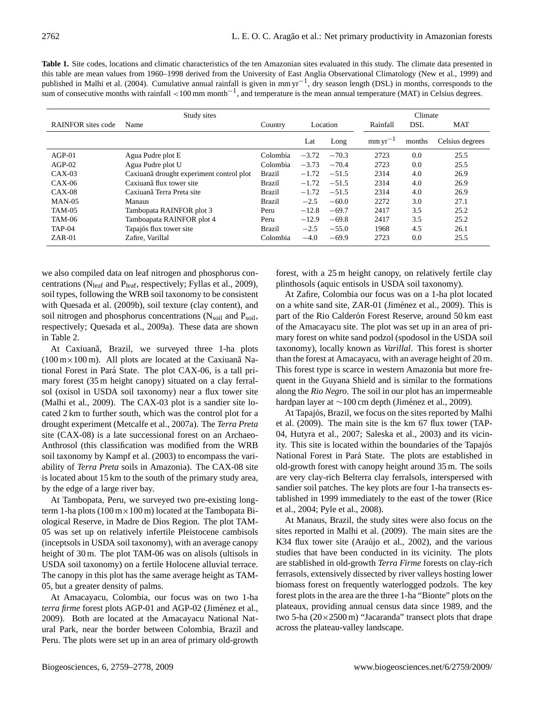**Table 1.** Site codes, locations and climatic characteristics of the ten Amazonian sites evaluated in this study. The climate data presented in this table are mean values from 1960–1998 derived from the University of East Anglia Observational Climatology (New et al., 1999) and published in Malhi et al. (2004). Cumulative annual rainfall is given in mm yr<sup>-1</sup>, dry season length (DSL) in months, corresponds to the sum of consecutive months with rainfall <100 mm month<sup>-1</sup>, and temperature is the mean annual temperature (MAT) in Celsius degrees.

|                           | Climate                                  |               |         |          |              |            |                 |
|---------------------------|------------------------------------------|---------------|---------|----------|--------------|------------|-----------------|
| <b>RAINFOR</b> sites code | Name                                     | Country       |         | Location | Rainfall     | <b>DSL</b> | MAT             |
|                           |                                          |               | Lat     | Long     | $mm yr^{-1}$ | months     | Celsius degrees |
| $AGP-01$                  | Agua Pudre plot E                        | Colombia      | $-3.72$ | $-70.3$  | 2723         | 0.0        | 25.5            |
| $AGP-02$                  | Agua Pudre plot U                        | Colombia      | $-3.73$ | $-70.4$  | 2723         | 0.0        | 25.5            |
| $CAX-03$                  | Caxiuanã drought experiment control plot | Brazil        | $-1.72$ | $-51.5$  | 2314         | 4.0        | 26.9            |
| $CAX-06$                  | Caxiuana flux tower site                 | <b>Brazil</b> | $-1.72$ | $-51.5$  | 2314         | 4.0        | 26.9            |
| $CAX-08$                  | Caxiuanã Terra Preta site                | <b>Brazil</b> | $-1.72$ | $-51.5$  | 2314         | 4.0        | 26.9            |
| $MAN-05$                  | <b>Manaus</b>                            | <b>Brazil</b> | $-2.5$  | $-60.0$  | 2272         | 3.0        | 27.1            |
| <b>TAM-05</b>             | Tambopata RAINFOR plot 3                 | Peru          | $-12.8$ | $-69.7$  | 2417         | 3.5        | 25.2            |
| <b>TAM-06</b>             | Tamboapata RAINFOR plot 4                | Peru          | $-12.9$ | $-69.8$  | 2417         | 3.5        | 25.2            |
| <b>TAP-04</b>             | Tapajós flux tower site                  | Brazil        | $-2.5$  | $-55.0$  | 1968         | 4.5        | 26.1            |
| $ZAR-01$                  | Zafire, Varillal                         | Colombia      | $-4.0$  | $-69.9$  | 2723         | 0.0        | 25.5            |

we also compiled data on leaf nitrogen and phosphorus concentrations ( $N_{leaf}$  and  $P_{leaf}$ , respectively; Fyllas et al., 2009), soil types, following the WRB soil taxonomy to be consistent with Quesada et al. (2009b), soil texture (clay content), and soil nitrogen and phosphorus concentrations  $(N_{\text{solid}}$  and  $P_{\text{solid}}$ , respectively; Quesada et al., 2009a). These data are shown in Table 2.

At Caxiuanã, Brazil, we surveyed three 1-ha plots ( $100 \text{ m} \times 100 \text{ m}$ ). All plots are located at the Caxiuana National Forest in Pará State. The plot CAX-06, is a tall primary forest (35 m height canopy) situated on a clay ferralsol (oxisol in USDA soil taxonomy) near a flux tower site (Malhi et al., 2009). The CAX-03 plot is a sandier site located 2 km to further south, which was the control plot for a drought experiment (Metcalfe et al., 2007a). The *Terra Preta* site (CAX-08) is a late successional forest on an Archaeo-Anthrosol (this classification was modified from the WRB soil taxonomy by Kampf et al. (2003) to encompass the variability of *Terra Preta* soils in Amazonia). The CAX-08 site is located about 15 km to the south of the primary study area, by the edge of a large river bay.

At Tambopata, Peru, we surveyed two pre-existing longterm 1-ha plots  $(100 \text{ m} \times 100 \text{ m})$  located at the Tambopata Biological Reserve, in Madre de Dios Region. The plot TAM-05 was set up on relatively infertile Pleistocene cambisols (inceptsols in USDA soil taxonomy), with an average canopy height of 30 m. The plot TAM-06 was on alisols (ultisols in USDA soil taxonomy) on a fertile Holocene alluvial terrace. The canopy in this plot has the same average height as TAM-05, but a greater density of palms.

At Amacayacu, Colombia, our focus was on two 1-ha *terra firme* forest plots AGP-01 and AGP-02 (Jiménez et al., 2009). Both are located at the Amacayacu National Natural Park, near the border between Colombia, Brazil and Peru. The plots were set up in an area of primary old-growth

forest, with a 25 m height canopy, on relatively fertile clay plinthosols (aquic entisols in USDA soil taxonomy).

At Zafire, Colombia our focus was on a 1-ha plot located on a white sand site, ZAR-01 (Jiménez et al., 2009). This is part of the Rio Calderón Forest Reserve, around 50 km east of the Amacayacu site. The plot was set up in an area of primary forest on white sand podzol (spodosol in the USDA soil taxonomy), locally known as *Varillal*. This forest is shorter than the forest at Amacayacu, with an average height of 20 m. This forest type is scarce in western Amazonia but more frequent in the Guyana Shield and is similar to the formations along the *Rio Negro*. The soil in our plot has an impermeable hardpan layer at ∼100 cm depth (Jiménez et al., 2009).

At Tapajós, Brazil, we focus on the sites reported by Malhi et al. (2009). The main site is the km 67 flux tower (TAP-04, Hutyra et al., 2007; Saleska et al., 2003) and its vicinity. This site is located within the boundaries of the Tapajós National Forest in Pará State. The plots are established in old-growth forest with canopy height around 35 m. The soils are very clay-rich Belterra clay ferralsols, interspersed with sandier soil patches. The key plots are four 1-ha transects established in 1999 immediately to the east of the tower (Rice et al., 2004; Pyle et al., 2008).

At Manaus, Brazil, the study sites were also focus on the sites reported in Malhi et al. (2009). The main sites are the K34 flux tower site (Araújo et al.,  $2002$ ), and the various studies that have been conducted in its vicinity. The plots are stablished in old-growth *Terra Firme* forests on clay-rich ferrasols, extensively dissected by river valleys hosting lower biomass forest on frequently waterlogged podzols. The key forest plots in the area are the three 1-ha "Bionte" plots on the plateaux, providing annual census data since 1989, and the two 5-ha  $(20 \times 2500 \text{ m})$  "Jacaranda" transect plots that drape across the plateau-valley landscape.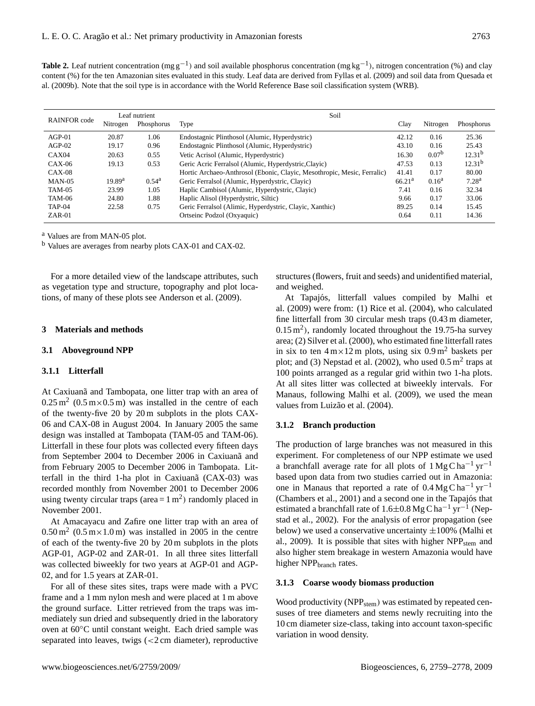Table 2. Leaf nutrient concentration (mg g<sup>-1</sup>) and soil available phosphorus concentration (mg kg<sup>-1</sup>), nitrogen concentration (%) and clay content (%) for the ten Amazonian sites evaluated in this study. Leaf data are derived from Fyllas et al. (2009) and soil data from Quesada et al. (2009b). Note that the soil type is in accordance with the World Reference Base soil classification system (WRB).

| <b>RAINFOR</b> code |                    | Leaf nutrient  | Soil                                                                    |                    |                   |                    |  |  |  |  |  |
|---------------------|--------------------|----------------|-------------------------------------------------------------------------|--------------------|-------------------|--------------------|--|--|--|--|--|
|                     | Nitrogen           | Phosphorus     | Type                                                                    | Clay               | Nitrogen          | Phosphorus         |  |  |  |  |  |
| $AGP-01$            | 20.87              | 1.06           | Endostagnic Plinthosol (Alumic, Hyperdystric)                           | 42.12              | 0.16              | 25.36              |  |  |  |  |  |
| $AGP-02$            | 19.17              | 0.96           | Endostagnic Plinthosol (Alumic, Hyperdystric)                           | 43.10              | 0.16              | 25.43              |  |  |  |  |  |
| CAX04               | 20.63              | 0.55           | Vetic Acrisol (Alumic, Hyperdystric)                                    | 16.30              | 0.07 <sup>b</sup> | 12.31 <sup>b</sup> |  |  |  |  |  |
| $CAX-06$            | 19.13              | 0.53           | Geric Acric Ferralsol (Alumic, Hyperdystric, Clayic)                    | 47.53              | 0.13              | 12.31 <sup>b</sup> |  |  |  |  |  |
| $CAX-08$            |                    |                | Hortic Archaeo-Anthrosol (Ebonic, Clayic, Mesothropic, Mesic, Ferralic) | 41.41              | 0.17              | 80.00              |  |  |  |  |  |
| $MAN-05$            | 19.89 <sup>a</sup> | $0.54^{\rm a}$ | Geric Ferralsol (Alumic, Hyperdystric, Clayic)                          | 66.21 <sup>a</sup> | $0.16^a$          | 7.28 <sup>a</sup>  |  |  |  |  |  |
| <b>TAM-05</b>       | 23.99              | 1.05           | Haplic Cambisol (Alumic, Hyperdystric, Clayic)                          | 7.41               | 0.16              | 32.34              |  |  |  |  |  |
| TAM-06              | 24.80              | 1.88           | Haplic Alisol (Hyperdystric, Siltic)                                    | 9.66               | 0.17              | 33.06              |  |  |  |  |  |
| TAP-04              | 22.58              | 0.75           | Geric Ferralsol (Alimic, Hyperdystric, Clayic, Xanthic)                 | 89.25              | 0.14              | 15.45              |  |  |  |  |  |
| $ZAR-01$            |                    |                | Ortseinc Podzol (Oxyaquic)                                              | 0.64               | 0.11              | 14.36              |  |  |  |  |  |

<sup>a</sup> Values are from MAN-05 plot.

<sup>b</sup> Values are averages from nearby plots CAX-01 and CAX-02.

For a more detailed view of the landscape attributes, such as vegetation type and structure, topography and plot locations, of many of these plots see Anderson et al. (2009).

#### **3 Materials and methods**

#### **3.1 Aboveground NPP**

#### **3.1.1 Litterfall**

At Caxiuana and Tambopata, one litter trap with an area of  $0.25 \,\mathrm{m}^2$  (0.5 m×0.5 m) was installed in the centre of each of the twenty-five 20 by 20 m subplots in the plots CAX-06 and CAX-08 in August 2004. In January 2005 the same design was installed at Tambopata (TAM-05 and TAM-06). Litterfall in these four plots was collected every fifteen days from September 2004 to December 2006 in Caxiuana and from February 2005 to December 2006 in Tambopata. Litterfall in the third 1-ha plot in Caxiuana (CAX-03) was recorded monthly from November 2001 to December 2006 using twenty circular traps (area =  $1 \text{ m}^2$ ) randomly placed in November 2001.

At Amacayacu and Zafire one litter trap with an area of  $0.50 \,\mathrm{m}^2$  (0.5 m $\times$ 1.0 m) was installed in 2005 in the centre of each of the twenty-five 20 by 20 m subplots in the plots AGP-01, AGP-02 and ZAR-01. In all three sites litterfall was collected biweekly for two years at AGP-01 and AGP-02, and for 1.5 years at ZAR-01.

For all of these sites sites, traps were made with a PVC frame and a 1 mm nylon mesh and were placed at 1 m above the ground surface. Litter retrieved from the traps was immediately sun dried and subsequently dried in the laboratory oven at 60◦C until constant weight. Each dried sample was separated into leaves, twigs (<2 cm diameter), reproductive

structures (flowers, fruit and seeds) and unidentified material, and weighed.

At Tapajós, litterfall values compiled by Malhi et al. (2009) were from: (1) Rice et al. (2004), who calculated fine litterfall from 30 circular mesh traps (0.43 m diameter,  $(0.15 \text{ m}^2)$ , randomly located throughout the 19.75-ha survey area; (2) Silver et al. (2000), who estimated fine litterfall rates in six to ten  $4 \text{ m} \times 12 \text{ m}$  plots, using six  $0.9 \text{ m}^2$  baskets per plot; and (3) Nepstad et al. (2002), who used  $0.5 \text{ m}^2$  traps at 100 points arranged as a regular grid within two 1-ha plots. At all sites litter was collected at biweekly intervals. For Manaus, following Malhi et al. (2009), we used the mean values from Luizão et al. (2004).

#### **3.1.2 Branch production**

The production of large branches was not measured in this experiment. For completeness of our NPP estimate we used a branchfall average rate for all plots of  $1 \text{ Mg C} \text{ ha}^{-1} \text{ yr}^{-1}$ based upon data from two studies carried out in Amazonia: one in Manaus that reported a rate of  $0.4 \text{ Mg C} \text{ ha}^{-1} \text{ yr}^{-1}$ (Chambers et al., 2001) and a second one in the Tapajós that estimated a branchfall rate of 1.6±0.8 Mg C ha<sup>-1</sup> yr<sup>-1</sup> (Nepstad et al., 2002). For the analysis of error propagation (see below) we used a conservative uncertainty  $\pm 100\%$  (Malhi et al., 2009). It is possible that sites with higher  $NPP<sub>stem</sub>$  and also higher stem breakage in western Amazonia would have higher NPP<sub>branch</sub> rates.

#### **3.1.3 Coarse woody biomass production**

Wood productivity ( $NPP<sub>stem</sub>$ ) was estimated by repeated censuses of tree diameters and stems newly recruiting into the 10 cm diameter size-class, taking into account taxon-specific variation in wood density.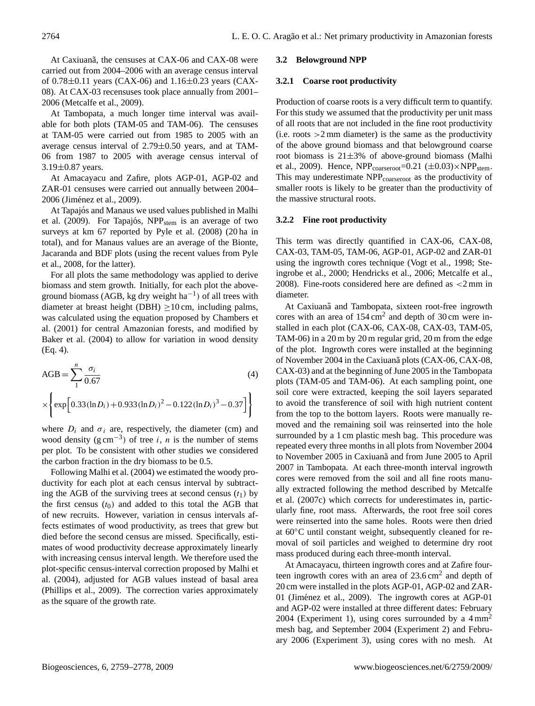At Caxiuana, the censuses at CAX-06 and CAX-08 were carried out from 2004–2006 with an average census interval of  $0.78 \pm 0.11$  years (CAX-06) and  $1.16 \pm 0.23$  years (CAX-08). At CAX-03 recensuses took place annually from 2001– 2006 (Metcalfe et al., 2009).

At Tambopata, a much longer time interval was available for both plots (TAM-05 and TAM-06). The censuses at TAM-05 were carried out from 1985 to 2005 with an average census interval of 2.79±0.50 years, and at TAM-06 from 1987 to 2005 with average census interval of 3.19±0.87 years.

At Amacayacu and Zafire, plots AGP-01, AGP-02 and ZAR-01 censuses were carried out annually between 2004– 2006 (Jiménez et al., 2009).

At Tapajós and Manaus we used values published in Malhi et al. (2009). For Tapajós, NPP<sub>stem</sub> is an average of two surveys at km 67 reported by Pyle et al. (2008) (20 ha in total), and for Manaus values are an average of the Bionte, Jacaranda and BDF plots (using the recent values from Pyle et al., 2008, for the latter).

For all plots the same methodology was applied to derive biomass and stem growth. Initially, for each plot the aboveground biomass (AGB, kg dry weight  $ha^{-1}$ ) of all trees with diameter at breast height (DBH)  $\geq$ 10 cm, including palms, was calculated using the equation proposed by Chambers et al. (2001) for central Amazonian forests, and modified by Baker et al. (2004) to allow for variation in wood density (Eq. 4).

$$
AGB = \sum_{1}^{n} \frac{\sigma_i}{0.67}
$$
\n
$$
\times \left\{ \exp \left[ 0.33 (\ln D_i) + 0.933 (\ln D_i)^2 - 0.122 (\ln D_i)^3 - 0.37 \right] \right\}
$$
\n(4)

where  $D_i$  and  $\sigma_i$  are, respectively, the diameter (cm) and wood density  $(g \text{ cm}^{-3})$  of tree *i*, *n* is the number of stems per plot. To be consistent with other studies we considered the carbon fraction in the dry biomass to be 0.5.

Following Malhi et al. (2004) we estimated the woody productivity for each plot at each census interval by subtracting the AGB of the surviving trees at second census  $(t_1)$  by the first census  $(t_0)$  and added to this total the AGB that of new recruits. However, variation in census intervals affects estimates of wood productivity, as trees that grew but died before the second census are missed. Specifically, estimates of wood productivity decrease approximately linearly with increasing census interval length. We therefore used the plot-specific census-interval correction proposed by Malhi et al. (2004), adjusted for AGB values instead of basal area (Phillips et al., 2009). The correction varies approximately as the square of the growth rate.

#### **3.2 Belowground NPP**

#### **3.2.1 Coarse root productivity**

Production of coarse roots is a very difficult term to quantify. For this study we assumed that the productivity per unit mass of all roots that are not included in the fine root productivity (i.e. roots  $>2$  mm diameter) is the same as the productivity of the above ground biomass and that belowground coarse root biomass is  $21\pm3\%$  of above-ground biomass (Malhi et al., 2009). Hence,  $NPP_{\text{coarseroot}} = 0.21 \ (\pm 0.03) \times NPP_{\text{stem}}$ . This may underestimate NPP<sub>coarseroot</sub> as the productivity of smaller roots is likely to be greater than the productivity of the massive structural roots.

#### **3.2.2 Fine root productivity**

This term was directly quantified in CAX-06, CAX-08, CAX-03, TAM-05, TAM-06, AGP-01, AGP-02 and ZAR-01 using the ingrowth cores technique (Vogt et al., 1998; Steingrobe et al., 2000; Hendricks et al., 2006; Metcalfe et al., 2008). Fine-roots considered here are defined as <2 mm in diameter.

At Caxiuana and Tambopata, sixteen root-free ingrowth cores with an area of  $154 \text{ cm}^2$  and depth of 30 cm were installed in each plot (CAX-06, CAX-08, CAX-03, TAM-05, TAM-06) in a 20 m by 20 m regular grid, 20 m from the edge of the plot. Ingrowth cores were installed at the beginning of November 2004 in the Caxiuana plots (CAX-06, CAX-08, CAX-03) and at the beginning of June 2005 in the Tambopata plots (TAM-05 and TAM-06). At each sampling point, one soil core were extracted, keeping the soil layers separated to avoid the transference of soil with high nutrient content from the top to the bottom layers. Roots were manually removed and the remaining soil was reinserted into the hole surrounded by a 1 cm plastic mesh bag. This procedure was repeated every three months in all plots from November 2004 to November 2005 in Caxiuana and from June 2005 to April 2007 in Tambopata. At each three-month interval ingrowth cores were removed from the soil and all fine roots manually extracted following the method described by Metcalfe et al. (2007c) which corrects for underestimates in, particularly fine, root mass. Afterwards, the root free soil cores were reinserted into the same holes. Roots were then dried at 60◦C until constant weight, subsequently cleaned for removal of soil particles and weighed to determine dry root mass produced during each three-month interval.

At Amacayacu, thirteen ingrowth cores and at Zafire fourteen ingrowth cores with an area of  $23.6 \text{ cm}^2$  and depth of 20 cm were installed in the plots AGP-01, AGP-02 and ZAR-01 (Jiménez et al., 2009). The ingrowth cores at AGP-01 and AGP-02 were installed at three different dates: February 2004 (Experiment 1), using cores surrounded by a  $4 \text{ mm}^2$ mesh bag, and September 2004 (Experiment 2) and February 2006 (Experiment 3), using cores with no mesh. At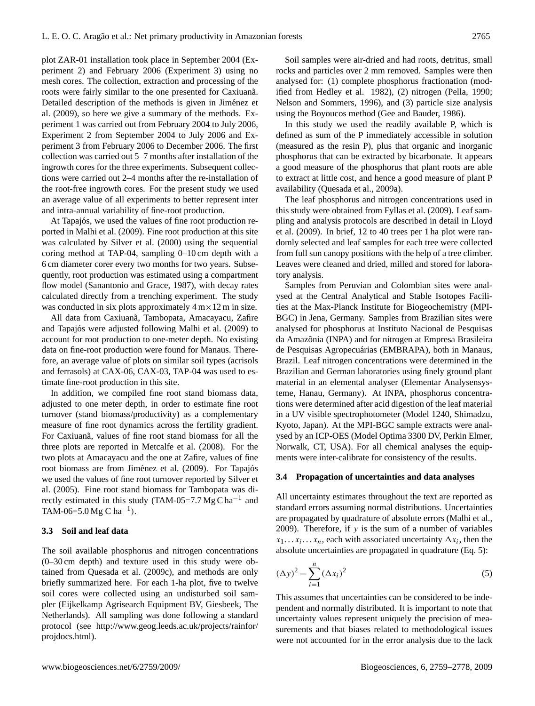plot ZAR-01 installation took place in September 2004 (Experiment 2) and February 2006 (Experiment 3) using no mesh cores. The collection, extraction and processing of the roots were fairly similar to the one presented for Caxiuana. Detailed description of the methods is given in Jiménez et al. (2009), so here we give a summary of the methods. Experiment 1 was carried out from February 2004 to July 2006, Experiment 2 from September 2004 to July 2006 and Experiment 3 from February 2006 to December 2006. The first collection was carried out 5–7 months after installation of the ingrowth cores for the three experiments. Subsequent collections were carried out 2–4 months after the re-installation of the root-free ingrowth cores. For the present study we used an average value of all experiments to better represent inter and intra-annual variability of fine-root production.

At Tapajós, we used the values of fine root production reported in Malhi et al. (2009). Fine root production at this site was calculated by Silver et al. (2000) using the sequential coring method at TAP-04, sampling 0–10 cm depth with a 6 cm diameter corer every two months for two years. Subsequently, root production was estimated using a compartment flow model (Sanantonio and Grace, 1987), with decay rates calculated directly from a trenching experiment. The study was conducted in six plots approximately  $4 \text{ m} \times 12 \text{ m}$  in size.

All data from Caxiuanã, Tambopata, Amacayacu, Zafire and Tapajós were adjusted following Malhi et al. (2009) to account for root production to one-meter depth. No existing data on fine-root production were found for Manaus. Therefore, an average value of plots on similar soil types (acrisols and ferrasols) at CAX-06, CAX-03, TAP-04 was used to estimate fine-root production in this site.

In addition, we compiled fine root stand biomass data, adjusted to one meter depth, in order to estimate fine root turnover (stand biomass/productivity) as a complementary measure of fine root dynamics across the fertility gradient. For Caxiuana, values of fine root stand biomass for all the three plots are reported in Metcalfe et al. (2008). For the two plots at Amacayacu and the one at Zafire, values of fine root biomass are from Jiménez et al. (2009). For Tapajós we used the values of fine root turnover reported by Silver et al. (2005). Fine root stand biomass for Tambopata was directly estimated in this study (TAM-05=7.7  $MgC$  ha<sup>-1</sup> and TAM-06=5.0 Mg C ha<sup>-1</sup>).

## **3.3 Soil and leaf data**

The soil available phosphorus and nitrogen concentrations (0–30 cm depth) and texture used in this study were obtained from Quesada et al. (2009c), and methods are only briefly summarized here. For each 1-ha plot, five to twelve soil cores were collected using an undisturbed soil sampler (Eijkelkamp Agrisearch Equipment BV, Giesbeek, The Netherlands). All sampling was done following a standard protocol (see [http://www.geog.leeds.ac.uk/projects/rainfor/](http://www.geog.leeds.ac.uk/projects/rainfor/projdocs.html) [projdocs.html\)](http://www.geog.leeds.ac.uk/projects/rainfor/projdocs.html).

Soil samples were air-dried and had roots, detritus, small rocks and particles over 2 mm removed. Samples were then analysed for: (1) complete phosphorus fractionation (modified from Hedley et al. 1982), (2) nitrogen (Pella, 1990; Nelson and Sommers, 1996), and (3) particle size analysis using the Boyoucos method (Gee and Bauder, 1986).

In this study we used the readily available P, which is defined as sum of the P immediately accessible in solution (measured as the resin P), plus that organic and inorganic phosphorus that can be extracted by bicarbonate. It appears a good measure of the phosphorus that plant roots are able to extract at little cost, and hence a good measure of plant P availability (Quesada et al., 2009a).

The leaf phosphorus and nitrogen concentrations used in this study were obtained from Fyllas et al. (2009). Leaf sampling and analysis protocols are described in detail in Lloyd et al. (2009). In brief, 12 to 40 trees per 1 ha plot were randomly selected and leaf samples for each tree were collected from full sun canopy positions with the help of a tree climber. Leaves were cleaned and dried, milled and stored for laboratory analysis.

Samples from Peruvian and Colombian sites were analysed at the Central Analytical and Stable Isotopes Facilities at the Max-Planck Institute for Biogeochemistry (MPI-BGC) in Jena, Germany. Samples from Brazilian sites were analysed for phosphorus at Instituto Nacional de Pesquisas da Amazônia (INPA) and for nitrogen at Empresa Brasileira de Pesquisas Agropecuárias (EMBRAPA), both in Manaus, Brazil. Leaf nitrogen concentrations were determined in the Brazilian and German laboratories using finely ground plant material in an elemental analyser (Elementar Analysensysteme, Hanau, Germany). At INPA, phosphorus concentrations were determined after acid digestion of the leaf material in a UV visible spectrophotometer (Model 1240, Shimadzu, Kyoto, Japan). At the MPI-BGC sample extracts were analysed by an ICP-OES (Model Optima 3300 DV, Perkin Elmer, Norwalk, CT, USA). For all chemical analyses the equipments were inter-calibrate for consistency of the results.

#### **3.4 Propagation of uncertainties and data analyses**

All uncertainty estimates throughout the text are reported as standard errors assuming normal distributions. Uncertainties are propagated by quadrature of absolute errors (Malhi et al., 2009). Therefore, if  $y$  is the sum of a number of variables  $x_1 \dots x_i \dots x_n$ , each with associated uncertainty  $\Delta x_i$ , then the absolute uncertainties are propagated in quadrature (Eq. 5):

$$
(\Delta y)^2 = \sum_{i=1}^n (\Delta x_i)^2
$$
\n(5)

This assumes that uncertainties can be considered to be independent and normally distributed. It is important to note that uncertainty values represent uniquely the precision of measurements and that biases related to methodological issues were not accounted for in the error analysis due to the lack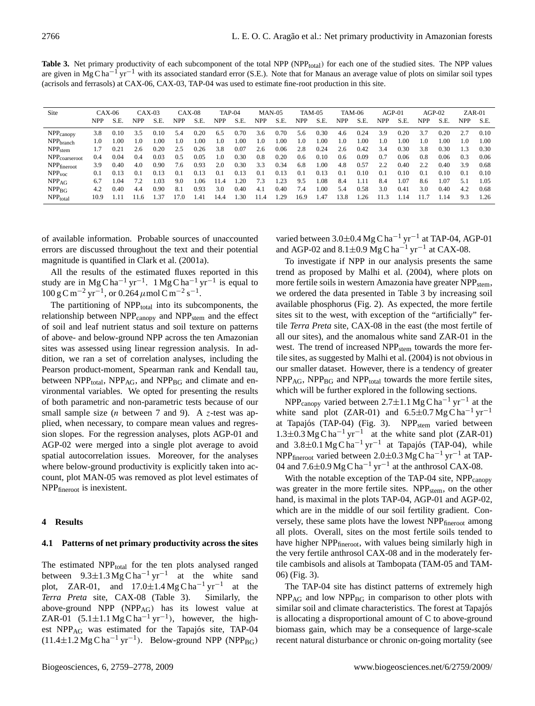Table 3. Net primary productivity of each subcomponent of the total NPP (NPP<sub>total</sub>) for each one of the studied sites. The NPP values are given in Mg C ha<sup>-1</sup> yr<sup>-1</sup> with its associated standard error (S.E.). Note that for Manaus an average value of plots on similar soil types (acrisols and ferrasols) at CAX-06, CAX-03, TAP-04 was used to estimate fine-root production in this site.

| Site                      |            | $CAX-06$ |            | $CAX-03$ |      | $CAX-08$ |      | TAP-04 |      | $MAN-05$ |      | <b>TAM-05</b> |      | TAM-06 | $AGP-01$ |      | $AGP-02$ |      |     | $ZAR-01$ |
|---------------------------|------------|----------|------------|----------|------|----------|------|--------|------|----------|------|---------------|------|--------|----------|------|----------|------|-----|----------|
|                           | <b>NPP</b> | S.E.     | <b>NPP</b> | S.E      | NPP  | S.E.     | NPP  | S.E.   | NPP  | S.E.     | NPP  | S.E.          | NPP  | S.E.   | NPP      | S.E  | NPP      | S.E. | NPP | S.E.     |
| $NPP$ <sub>canopy</sub>   | 3.8        | 0.10     | 3.5        | 0.10     | 5.4  | 0.20     | 6.5  | 0.70   | 3.6  | 0.70     | 5.6  | 0.30          | 4.6  | 0.24   | 3.9      | 0.20 | 3.7      | 0.20 | 2.7 | 0.10     |
| NPP <sub>branch</sub>     | 1.0        | 1.00     | 1.0        | .00      | 1.0  | .00      | 1.0  | 1.00   | 1.0  | LOO.     | 1.0  | .00           | 1.0  | .00    | 1.0      | 00.1 | 1.0      | 0.00 | 1.0 | L.OO     |
| NPP <sub>stem</sub>       |            | 0.21     | 2.6        | 0.20     | 2.5  | 0.26     | 3.8  | 0.07   | 2.6  | 0.06     | 2.8  | 0.24          | 2.6  | 0.42   | 3.4      | 0.30 | 3.8      | 0.30 | .3  | 0.30     |
| NPP <sub>coarseroot</sub> | 0.4        | 0.04     | 0.4        | 0.03     | 0.5  | 0.05     | 1.0  | 0.30   | 0.8  | 0.20     | 0.6  | 0.10          | 0.6  | 0.09   | 0.7      | 0.06 | 0.8      | 0.06 | 0.3 | 0.06     |
| $NPP$ fineroot            | 3.9        | 0.40     | 4.0        | 0.90     | 7.6  | 0.93     | 2.0  | 0.30   | 3.3  | 0.34     | 6.8  | .00           | 4.8  | 0.57   | 2.2      | 0.40 | 2.2      | 0.40 | 3.9 | 0.68     |
| NPP <sub>voc</sub>        | 0.1        | 0.13     | 0.1        | 0.13     | 0.1  | 0.13     | 0.1  | 0.13   | 0.1  | 0.13     | 0.1  | 0.13          | 0.1  | 0.10   | 0.1      | 0.10 | 0.1      | 0.10 | 0.1 | 0.10     |
| NPP <sub>AG</sub>         | 6.7        | .04      |            | .03      | 9.0  | .06      | 14   | .20    | 7.3  | .23      | 9.5  | .08           | 8.4  | 1.11   | 8.4      | LO7  | 8.6      | 1.07 | 5.1 | 1.05     |
| NPP <sub>BG</sub>         | 4.2        | 0.40     | 4.4        | 0.90     | 8.1  | 0.93     | 3.0  | 0.40   | 4.1  | 0.40     | 7.4  | .00           | 5.4  | 0.58   | 3.0      | 0.41 | 3.0      | 0.40 | 4.2 | 0.68     |
| NPP <sub>total</sub>      | 10.9       |          | 16         | .37      | 17.0 | .41      | 14.4 | .30    | 11.4 | .29      | 16.9 | .47           | 13.8 | 26     |          | -14  |          | 1.14 | 9.3 | 1.26     |

of available information. Probable sources of unaccounted errors are discussed throughout the text and their potential magnitude is quantified in Clark et al. (2001a).

All the results of the estimated fluxes reported in this study are in Mg C ha<sup>-1</sup> yr<sup>-1</sup>. 1 Mg C ha<sup>-1</sup> yr<sup>-1</sup> is equal to  $100 \text{ g C m}^{-2} \text{ yr}^{-1}$ , or  $0.264 \mu \text{mol C m}^{-2} \text{ s}^{-1}$ .

The partitioning of  $NPP<sub>total</sub>$  into its subcomponents, the relationship between  $NPP_{\text{canopy}}$  and  $NPP_{\text{stem}}$  and the effect of soil and leaf nutrient status and soil texture on patterns of above- and below-ground NPP across the ten Amazonian sites was assessed using linear regression analysis. In addition, we ran a set of correlation analyses, including the Pearson product-moment, Spearman rank and Kendall tau, between  $NPP_{total}$ ,  $NPP_{AG}$ , and  $NPP_{BG}$  and climate and environmental variables. We opted for presenting the results of both parametric and non-parametric tests because of our small sample size (*n* between 7 and 9). A z-test was applied, when necessary, to compare mean values and regression slopes. For the regression analyses, plots AGP-01 and AGP-02 were merged into a single plot average to avoid spatial autocorrelation issues. Moreover, for the analyses where below-ground productivity is explicitly taken into account, plot MAN-05 was removed as plot level estimates of NPPfineroot is inexistent.

#### **4 Results**

## **4.1 Patterns of net primary productivity across the sites**

The estimated NPP<sub>total</sub> for the ten plots analysed ranged between  $9.3 \pm 1.3$  Mg C ha<sup>-1</sup> yr<sup>-1</sup> at the white sand plot, ZAR-01, and  $17.0 \pm 1.4$  Mg C ha<sup>-1</sup> yr<sup>-1</sup> at the *Terra Preta* site, CAX-08 (Table 3). Similarly, the above-ground NPP (NPPAG) has its lowest value at ZAR-01  $(5.1 \pm 1.1 \text{ Mg C ha}^{-1} \text{ yr}^{-1})$ , however, the highest NPP<sub>AG</sub> was estimated for the Tapajós site, TAP-04  $(11.4 \pm 1.2 \text{ Mg C} \text{ ha}^{-1} \text{ yr}^{-1})$ . Below-ground NPP (NPP<sub>BG</sub>)

varied between  $3.0 \pm 0.4$  Mg C ha<sup>-1</sup> yr<sup>-1</sup> at TAP-04, AGP-01 and AGP-02 and  $8.1 \pm 0.9$  Mg C ha<sup>-1</sup> yr<sup>-1</sup> at CAX-08.

To investigate if NPP in our analysis presents the same trend as proposed by Malhi et al. (2004), where plots on more fertile soils in western Amazonia have greater NPP<sub>stem</sub>, we ordered the data presented in Table 3 by increasing soil available phosphorus (Fig. 2). As expected, the more fertile sites sit to the west, with exception of the "artificially" fertile *Terra Preta* site, CAX-08 in the east (the most fertile of all our sites), and the anomalous white sand ZAR-01 in the west. The trend of increased NPP<sub>stem</sub> towards the more fertile sites, as suggested by Malhi et al. (2004) is not obvious in our smaller dataset. However, there is a tendency of greater  $NPP_{AG}$ ,  $NPP_{BG}$  and  $NPP_{total}$  towards the more fertile sites, which will be further explored in the following sections.

NPP<sub>canopy</sub> varied between 2.7±1.1 Mg C ha<sup>-1</sup> yr<sup>-1</sup> at the white sand plot (ZAR-01) and  $6.5\pm0.7$  Mg C ha<sup>-1</sup> yr<sup>-1</sup> at Tapajós (TAP-04) (Fig. 3). NPP<sub>stem</sub> varied between 1.3±0.3 Mg C ha<sup>-1</sup> yr<sup>-1</sup> at the white sand plot (ZAR-01) and  $3.8 \pm 0.1$  Mg C ha<sup>-1</sup> yr<sup>-1</sup> at Tapajós (TAP-04), while NPP<sub>fineroot</sub> varied between 2.0±0.3 Mg C ha<sup>-1</sup> yr<sup>-1</sup> at TAP-04 and  $7.6\pm0.9$  Mg C ha<sup>-1</sup> yr<sup>-1</sup> at the anthrosol CAX-08.

With the notable exception of the TAP-04 site, NPP<sub>canopy</sub> was greater in the more fertile sites. NPP<sub>stem</sub>, on the other hand, is maximal in the plots TAP-04, AGP-01 and AGP-02, which are in the middle of our soil fertility gradient. Conversely, these same plots have the lowest NPP<sub>fineroot</sub> among all plots. Overall, sites on the most fertile soils tended to have higher NPP<sub>fineroot</sub>, with values being similarly high in the very fertile anthrosol CAX-08 and in the moderately fertile cambisols and alisols at Tambopata (TAM-05 and TAM-06) (Fig. 3).

The TAP-04 site has distinct patterns of extremely high  $NPP_{\text{AG}}$  and low  $NPP_{\text{BG}}$  in comparison to other plots with similar soil and climate characteristics. The forest at Tapajós is allocating a disproportional amount of C to above-ground biomass gain, which may be a consequence of large-scale recent natural disturbance or chronic on-going mortality (see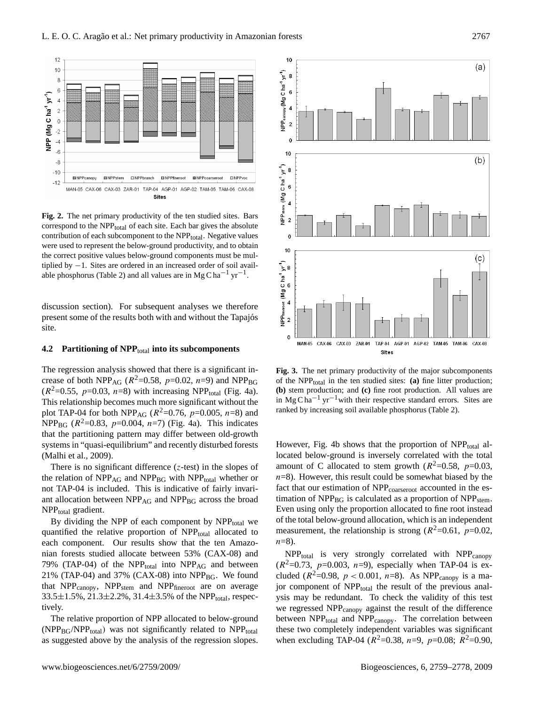

**Fig. 2.** The net primary productivity of the ten studied sites. Bars correspond to the  $NPP<sub>total</sub>$  of each site. Each bar gives the absolute contribution of each subcomponent to the NPP<sub>total</sub>. Negative values were used to represent the below-ground productivity, and to obtain the correct positive values below-ground components must be multiplied by −1. Sites are ordered in an increased order of soil available phosphorus (Table 2) and all values are in Mg C ha<sup>-1</sup> yr<sup>-1</sup>.

discussion section). For subsequent analyses we therefore present some of the results both with and without the Tapajos´ site.

#### **4.2 Partitioning of NPP**<sub>total</sub> into its subcomponents

The regression analysis showed that there is a significant increase of both NPP<sub>AG</sub> ( $R^2 = 0.58$ ,  $p = 0.02$ ,  $n = 9$ ) and NPP<sub>BG</sub>  $(R^2=0.55, p=0.03, n=8)$  with increasing NPP<sub>total</sub> (Fig. 4a). This relationship becomes much more significant without the plot TAP-04 for both NPP<sub>AG</sub> ( $R^2$ =0.76,  $p$ =0.005,  $n$ =8) and NPP<sub>BG</sub>  $(R^2=0.83, p=0.004, n=7)$  (Fig. 4a). This indicates that the partitioning pattern may differ between old-growth systems in "quasi-equilibrium" and recently disturbed forests (Malhi et al., 2009).

There is no significant difference  $(z$ -test) in the slopes of the relation of  $NPP_{AG}$  and  $NPP_{BG}$  with  $NPP_{total}$  whether or not TAP-04 is included. This is indicative of fairly invariant allocation between  $NPP_{AG}$  and  $NPP_{BG}$  across the broad NPP<sub>total</sub> gradient.

By dividing the NPP of each component by  $NPP<sub>total</sub>$  we quantified the relative proportion of NPP<sub>total</sub> allocated to each component. Our results show that the ten Amazonian forests studied allocate between 53% (CAX-08) and 79% (TAP-04) of the  $NPP_{total}$  into  $NPP_{AG}$  and between 21% (TAP-04) and 37% (CAX-08) into  $NPP_{BG}$ . We found that  $NPP_{canoov}$ ,  $NPP_{stem}$  and  $NPP_{fineroot}$  are on average  $33.5\pm1.5\%$ ,  $21.3\pm2.2\%$ ,  $31.4\pm3.5\%$  of the NPP<sub>total</sub>, respectively.

The relative proportion of NPP allocated to below-ground  $(NPP_{BG}/NPP_{total})$  was not significantly related to  $NPP_{total}$ as suggested above by the analysis of the regression slopes.



**Fig. 3.** The net primary productivity of the major subcomponents of the NPP $_{total}$  in the ten studied sites: (a) fine litter production; **(b)** stem production; and **(c)** fine root production. All values are in Mg C ha<sup> $-1$ </sup> yr<sup> $-1$ </sup> with their respective standard errors. Sites are ranked by increasing soil available phosphorus (Table 2).

However, Fig. 4b shows that the proportion of  $NPP_{total}$  allocated below-ground is inversely correlated with the total amount of C allocated to stem growth  $(R^2=0.58, p=0.03,$  $n=8$ ). However, this result could be somewhat biased by the fact that our estimation of NPP<sub>coarseroot</sub> accounted in the estimation of  $NPP_{BG}$  is calculated as a proportion of  $NPP_{stem}$ . Even using only the proportion allocated to fine root instead of the total below-ground allocation, which is an independent measurement, the relationship is strong ( $R^2$ =0.61,  $p$ =0.02,  $n=8$ ).

 $NPP_{total}$  is very strongly correlated with  $NPP_{canoov}$  $(R^2=0.73, p=0.003, n=9)$ , especially when TAP-04 is excluded ( $R^2 = 0.98$ ,  $p < 0.001$ ,  $n = 8$ ). As NPP<sub>canopy</sub> is a major component of NPP<sub>total</sub> the result of the previous analysis may be redundant. To check the validity of this test we regressed NPP<sub>canopy</sub> against the result of the difference between NPP<sub>total</sub> and NPP<sub>canopy</sub>. The correlation between these two completely independent variables was significant when excluding TAP-04 ( $R^2$ =0.38, n=9, p=0.08;  $R^2$ =0.90,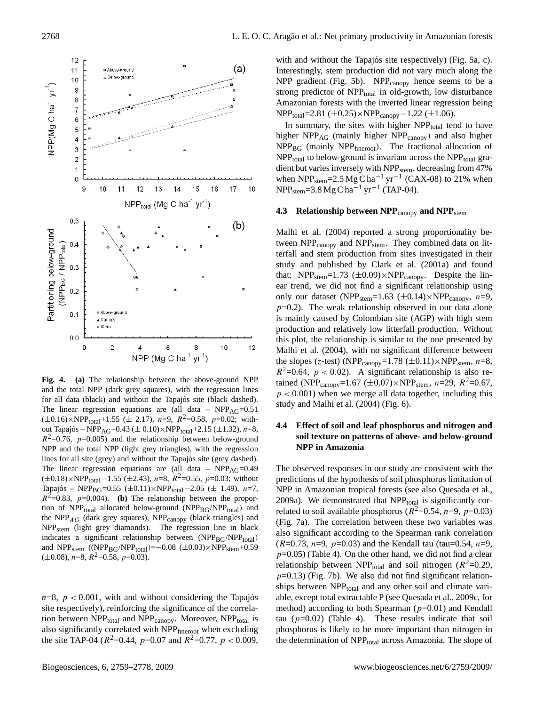

**Fig. 4. (a)** The relationship between the above-ground NPP and the total NPP (dark grey squares), with the regression lines for all data (black) and without the Tapajós site (black dashed). The linear regression equations are (all data –  $NPP<sub>AG</sub>=0.51$  $(\pm 0.16) \times \text{NPP}_{\text{total}} + 1.55 \ (\pm 2.17)$ , n=9,  $R^2 = 0.58$ , p=0.02; without Tapajós – NPP<sub>AG</sub>=0.43 ( $\pm$  0.10)×NPP<sub>total</sub>+2.15 ( $\pm$ 1.32), n=8,  $R^2$ =0.76, p=0.005) and the relationship between below-ground NPP and the total NPP (light grey triangles), with the regression lines for all site (grey) and without the Tapajós site (grey dashed). The linear regression equations are (all data –  $NPP<sub>AG</sub>=0.49$  $(\pm 0.18) \times \text{NPP}_{\text{total}} - 1.55 \ (\pm 2.43), n = 8, R^2 = 0.55, p = 0.03$ ; without Tapajós – NPP<sub>BG</sub>=0.55 (±0.11)×NPP<sub>total</sub> – 2.05 (± 1.49), n=7,  $R^2$ =0.83,  $p$ =0.004). **(b)** The relationship between the proportion of  $NPP_{total}$  allocated below-ground ( $NPP_{BG}/NPP_{total}$ ) and the  $NPP_{AG}$  (dark grey squares),  $NPP_{canopy}$  (black triangles) and NPPstem (light grey diamonds). The regression line in black indicates a significant relationship between (NPPBG/NPPtotal) and NPP<sub>stem</sub> ((NPP<sub>BG</sub>/NPP<sub>total</sub>)=−0.08 (±0.03)×NPP<sub>stem</sub>+0.59  $(\pm 0.08)$ , n=8,  $R^2$ =0.58, p=0.03).

 $n=8$ ,  $p < 0.001$ , with and without considering the Tapajos site respectively), reinforcing the significance of the correlation between NPP<sub>total</sub> and NPP<sub>canopy</sub>. Moreover, NPP<sub>total</sub> is also significantly correlated with NPPfineroot when excluding the site TAP-04 ( $R^2$ =0.44,  $p$ =0.07 and  $R^2$ =0.77,  $p$  < 0.009,

with and without the Tapajós site respectively) (Fig. 5a, c). Interestingly, stem production did not vary much along the NPP gradient (Fig. 5b). NPP $_{\text{canopy}}$  hence seems to be a strong predictor of NPP<sub>total</sub> in old-growth, low disturbance Amazonian forests with the inverted linear regression being  $NPP_{total} = 2.81 \ (\pm 0.25) \times NPP_{canopy} - 1.22 \ (\pm 1.06).$ 

In summary, the sites with higher  $NPP_{total}$  tend to have higher  $NPP_{AG}$  (mainly higher  $NPP_{canopy}$ ) and also higher  $NPP_{BG}$  (mainly  $NPP_{fineroot}$ ). The fractional allocation of  $NPP<sub>total</sub>$  to below-ground is invariant across the  $NPP<sub>total</sub>$  gradient but varies inversely with NPP<sub>stem</sub>, decreasing from 47% when NPP<sub>stem</sub>=2.5 Mg C ha<sup>-1</sup> yr<sup>-1</sup> (CAX-08) to 21% when  $NPP<sub>stem</sub>=3.8 Mg C ha<sup>-1</sup> yr<sup>-1</sup> (TAP-04).$ 

## **4.3 Relationship between NPP**<sub>canopy</sub> and NPP<sub>stem</sub>

Malhi et al. (2004) reported a strong proportionality between  $NPP_{\text{canopy}}$  and  $NPP_{\text{stem}}$ . They combined data on litterfall and stem production from sites investigated in their study and published by Clark et al. (2001a) and found that: NPP<sub>stem</sub>=1.73 ( $\pm$ 0.09)×NPP<sub>canopy</sub>. Despite the linear trend, we did not find a significant relationship using only our dataset (NPP<sub>stem</sub>=1.63 ( $\pm$ 0.14)×NPP<sub>canopy</sub>, n=9,  $p=0.2$ ). The weak relationship observed in our data alone is mainly caused by Colombian site (AGP) with high stem production and relatively low litterfall production. Without this plot, the relationship is similar to the one presented by Malhi et al. (2004), with no significant difference between the slopes (z-test) (NPP<sub>canopy</sub>=1.78 ( $\pm$ 0.11) $\times$ NPP<sub>stem</sub>, n=8,  $R^2$ =0.64,  $p$  < 0.02). A significant relationship is also retained (NPP<sub>canopy</sub>=1.67 ( $\pm$ 0.07)×NPP<sub>stem</sub>, *n*=29, *R*<sup>2</sup>=0.67,  $p < 0.001$ ) when we merge all data together, including this study and Malhi et al. (2004) (Fig. 6).

## **4.4 Effect of soil and leaf phosphorus and nitrogen and soil texture on patterns of above- and below-ground NPP in Amazonia**

The observed responses in our study are consistent with the predictions of the hypothesis of soil phosphorus limitation of NPP in Amazonian tropical forests (see also Quesada et al., 2009a). We demonstrated that  $NPP<sub>total</sub>$  is significantly correlated to soil available phosphorus ( $R^2$ =0.54, n=9, p=0.03) (Fig. 7a). The correlation between these two variables was also significant according to the Spearman rank correlation  $(R=0.73, n=9, p=0.03)$  and the Kendall tau (tau=0.54, n=9,  $p=0.05$ ) (Table 4). On the other hand, we did not find a clear relationship between NPP<sub>total</sub> and soil nitrogen ( $R^2$ =0.29,  $p=0.13$ ) (Fig. 7b). We also did not find significant relationships between NPP<sub>total</sub> and any other soil and climate variable, except total extractable P (see Quesada et al., 2009c, for method) according to both Spearman ( $p=0.01$ ) and Kendall tau  $(p=0.02)$  (Table 4). These results indicate that soil phosphorus is likely to be more important than nitrogen in the determination of NPP<sub>total</sub> across Amazonia. The slope of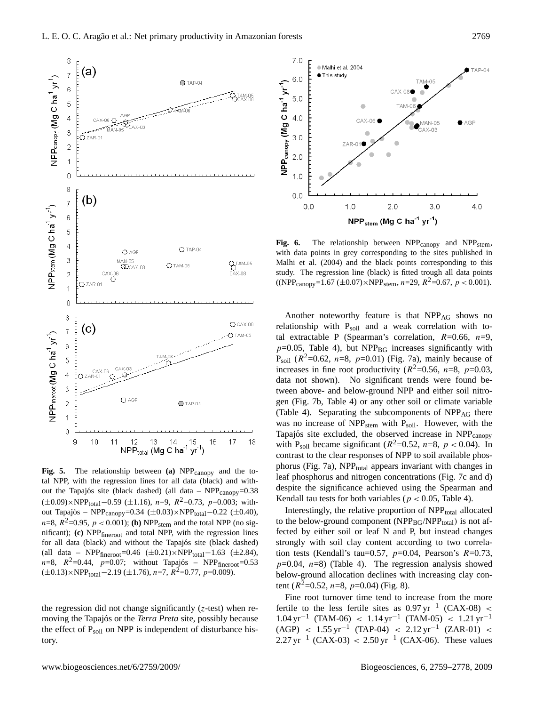

Fig. 5. The relationship between **(a)** NPP<sub>canopy</sub> and the total NPP, with the regression lines for all data (black) and without the Tapajós site (black dashed) (all data –  $NPP_{\text{canopy}}=0.38$  $(\pm 0.09) \times \text{NPP}_{\text{total}} - 0.59 \ (\pm 1.16)$ , n=9,  $R^2 = 0.73$ , p=0.003; without Tapajós – NPP<sub>canopy</sub>=0.34 (±0.03)×NPP<sub>total</sub> –0.22 (±0.40),  $n=8$ ,  $R^2=0.95$ ,  $p < 0.001$ ); **(b)** NPP<sub>stem</sub> and the total NPP (no significant); **(c)** NPPfineroot and total NPP, with the regression lines for all data (black) and without the Tapajós site (black dashed) (all data – NPP $_{\text{fineroot}}$ =0.46 (±0.21)×NPP<sub>total</sub>-1.63 (±2.84),  $n=8$ ,  $R^2=0.44$ ,  $p=0.07$ ; without Tapajós – NPP  $_{\text{fineroot}}=0.53$  $(\pm 0.13) \times \text{NPP}_{\text{total}} - 2.19 (\pm 1.76), n = 7, R^2 = 0.77, p = 0.009).$ 

the regression did not change significantly  $(z$ -test) when removing the Tapajós or the *Terra Preta* site, possibly because the effect of  $P_{\text{soil}}$  on NPP is independent of disturbance history.



Fig. 6. The relationship between NPP<sub>canopy</sub> and NPP<sub>stem</sub>, with data points in grey corresponding to the sites published in Malhi et al. (2004) and the black points corresponding to this study. The regression line (black) is fitted trough all data points  $((NPP<sub>canopy</sub>=1.67 (\pm 0.07) \times NPP<sub>stem</sub>, n=29, R<sup>2</sup>=0.67, p < 0.001).$ 

Another noteworthy feature is that NPP<sub>AG</sub> shows no relationship with  $P<sub>soil</sub>$  and a weak correlation with total extractable P (Spearman's correlation,  $R=0.66$ ,  $n=9$ ,  $p=0.05$ , Table 4), but NPP<sub>BG</sub> increases significantly with  $P_{\text{soil}}$  ( $R^2$ =0.62, n=8, p=0.01) (Fig. 7a), mainly because of increases in fine root productivity ( $R^2$ =0.56, n=8, p=0.03, data not shown). No significant trends were found between above- and below-ground NPP and either soil nitrogen (Fig. 7b, Table 4) or any other soil or climate variable (Table 4). Separating the subcomponents of  $NPP_{AG}$  there was no increase of NPP<sub>stem</sub> with P<sub>soil</sub>. However, with the Tapajós site excluded, the observed increase in NPP canopy with P<sub>soil</sub> became significant ( $R^2$ =0.52,  $n$ =8,  $p$  < 0.04). In contrast to the clear responses of NPP to soil available phosphorus (Fig. 7a),  $NPP<sub>total</sub>$  appears invariant with changes in leaf phosphorus and nitrogen concentrations (Fig. 7c and d) despite the significance achieved using the Spearman and Kendall tau tests for both variables ( $p < 0.05$ , Table 4).

Interestingly, the relative proportion of NPP<sub>total</sub> allocated to the below-ground component ( $NPP_{BG}/NPP_{total}$ ) is not affected by either soil or leaf N and P, but instead changes strongly with soil clay content according to two correlation tests (Kendall's tau=0.57,  $p=0.04$ , Pearson's  $R=0.73$ ,  $p=0.04$ ,  $n=8$ ) (Table 4). The regression analysis showed below-ground allocation declines with increasing clay content ( $R^2$ =0.52,  $n$ =8,  $p$ =0.04) (Fig. 8).

Fine root turnover time tend to increase from the more fertile to the less fertile sites as  $0.97 \,\text{yr}^{-1}$  (CAX-08) <  $1.04 \,\text{yr}^{-1}$  (TAM-06) <  $1.14 \,\text{yr}^{-1}$  (TAM-05) <  $1.21 \,\text{yr}^{-1}$  $(AGP)$  < 1.55 yr<sup>-1</sup> (TAP-04) < 2.12 yr<sup>-1</sup> (ZAR-01) <  $2.27 \,\text{yr}^{-1}$  (CAX-03) < 2.50 yr<sup>-1</sup> (CAX-06). These values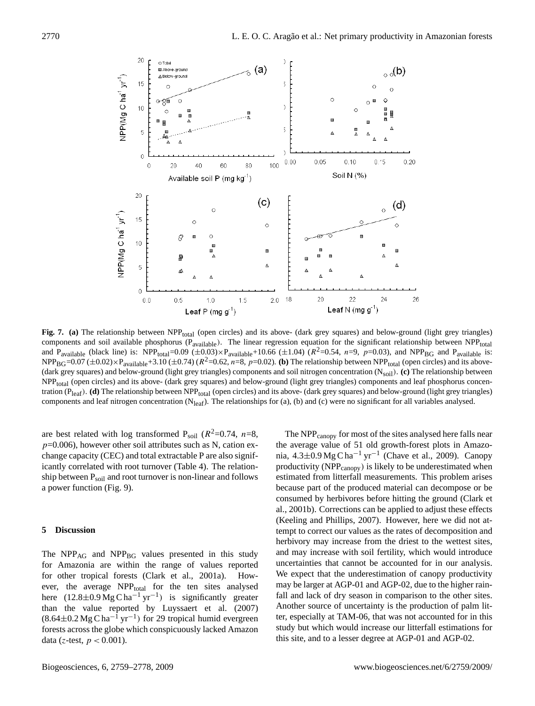

Fig. 7. (a) The relationship between NPP<sub>total</sub> (open circles) and its above- (dark grey squares) and below-ground (light grey triangles) components and soil available phosphorus ( $P_{\text{available}}$ ). The linear regression equation for the significant relationship between NPP<sub>total</sub> and P<sub>available</sub> (black line) is: NPP<sub>total</sub>=0.09 ( $\pm$ 0.03)×P<sub>available</sub>+10.66 ( $\pm$ 1.04) ( $R^2$ =0.54,  $n=9$ ,  $p=0.03$ ), and NPP<sub>BG</sub> and P<sub>available</sub> is:  $NPP_{BG}=0.07 \ (\pm 0.02) \times P_{available}+3.10 \ (\pm 0.74) \ (R^2=0.62, n=8, p=0.02)$ . (b) The relationship between  $NPP_{total}$  (open circles) and its above-(dark grey squares) and below-ground (light grey triangles) components and soil nitrogen concentration (N<sub>soil</sub>). (c) The relationship between NPPtotal (open circles) and its above- (dark grey squares) and below-ground (light grey triangles) components and leaf phosphorus concentration (P<sub>leaf</sub>). **(d)** The relationship between NPP<sub>total</sub> (open circles) and its above- (dark grey squares) and below-ground (light grey triangles) components and leaf nitrogen concentration ( $N_{leaf}$ ). The relationships for (a), (b) and (c) were no significant for all variables analysed.

are best related with log transformed  $P_{\text{soil}}$  ( $R^2=0.74$ ,  $n=8$ ,  $p=0.006$ ), however other soil attributes such as N, cation exchange capacity (CEC) and total extractable P are also significantly correlated with root turnover (Table 4). The relationship between  $P_{\text{solid}}$  and root turnover is non-linear and follows a power function (Fig. 9).

## **5 Discussion**

The  $NPP_{AG}$  and  $NPP_{BG}$  values presented in this study for Amazonia are within the range of values reported for other tropical forests (Clark et al., 2001a). However, the average NPP<sub>total</sub> for the ten sites analysed here  $(12.8 \pm 0.9 \text{ Mg C} \text{ ha}^{-1} \text{ yr}^{-1})$  is significantly greater than the value reported by Luyssaert et al. (2007)  $(8.64\pm0.2 \text{ Mg C ha}^{-1} \text{ yr}^{-1})$  for 29 tropical humid evergreen forests across the globe which conspicuously lacked Amazon data (z-test,  $p < 0.001$ ).

The NPP<sub>canopy</sub> for most of the sites analysed here falls near the average value of 51 old growth-forest plots in Amazonia,  $4.3\pm0.9$  Mg C ha<sup>-1</sup> yr<sup>-1</sup> (Chave et al., 2009). Canopy productivity (NPP<sub>canopy</sub>) is likely to be underestimated when estimated from litterfall measurements. This problem arises because part of the produced material can decompose or be consumed by herbivores before hitting the ground (Clark et al., 2001b). Corrections can be applied to adjust these effects (Keeling and Phillips, 2007). However, here we did not attempt to correct our values as the rates of decomposition and herbivory may increase from the driest to the wettest sites, and may increase with soil fertility, which would introduce uncertainties that cannot be accounted for in our analysis. We expect that the underestimation of canopy productivity may be larger at AGP-01 and AGP-02, due to the higher rainfall and lack of dry season in comparison to the other sites. Another source of uncertainty is the production of palm litter, especially at TAM-06, that was not accounted for in this study but which would increase our litterfall estimations for this site, and to a lesser degree at AGP-01 and AGP-02.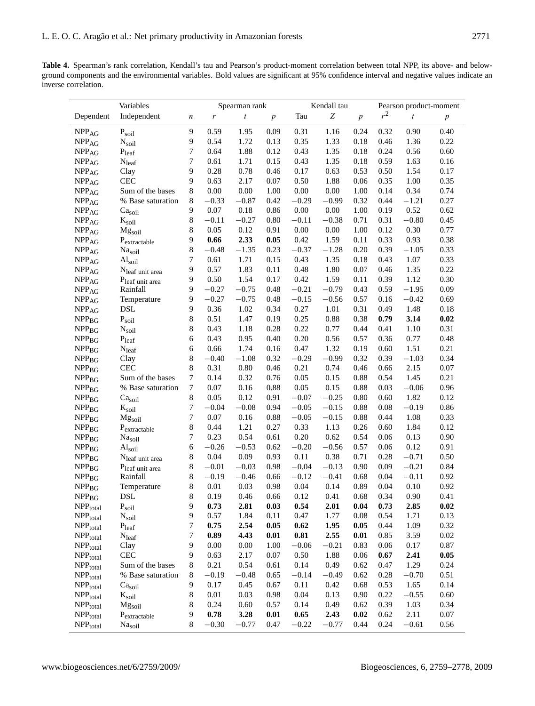**Table 4.** Spearman's rank correlation, Kendall's tau and Pearson's product-moment correlation between total NPP, its above- and belowground components and the environmental variables. Bold values are significant at 95% confidence interval and negative values indicate an inverse correlation.

| Variables                                  |                               |                  |          | Spearman rank    |                  |          | Kendall tau      |                  | Pearson product-moment |                  |                  |  |
|--------------------------------------------|-------------------------------|------------------|----------|------------------|------------------|----------|------------------|------------------|------------------------|------------------|------------------|--|
| Dependent                                  | Independent                   | $\boldsymbol{n}$ | r        | $\boldsymbol{t}$ | $\boldsymbol{p}$ | Tau      | $\boldsymbol{Z}$ | $\boldsymbol{p}$ | $r^2$                  | $\boldsymbol{t}$ | $\boldsymbol{p}$ |  |
| $\ensuremath{\mathsf{NPP}_{\mathsf{AG}}}$  | P <sub>soil</sub>             | 9                | 0.59     | 1.95             | 0.09             | 0.31     | 1.16             | 0.24             | 0.32                   | 0.90             | 0.40             |  |
| NPP <sub>AG</sub>                          | $N_{\text{soil}}$             | 9                | 0.54     | 1.72             | 0.13             | 0.35     | 1.33             | 0.18             | 0.46                   | 1.36             | 0.22             |  |
| $\ensuremath{\mathsf{NPP}_{\mathsf{AG}}}$  | P <sub>leaf</sub>             | $\tau$           | 0.64     | 1.88             | 0.12             | 0.43     | 1.35             | 0.18             | 0.24                   | 0.56             | 0.60             |  |
| $\ensuremath{\mathsf{NPP}_{\mathsf{AG}}}$  | N <sub>leaf</sub>             | $\tau$           | 0.61     | 1.71             | 0.15             | 0.43     | 1.35             | 0.18             | 0.59                   | 1.63             | 0.16             |  |
| $\ensuremath{\mathsf{NPP}_{\mathsf{AG}}}$  | Clay                          | 9                | 0.28     | 0.78             | 0.46             | 0.17     | 0.63             | 0.53             | 0.50                   | 1.54             | 0.17             |  |
| $\ensuremath{\mathsf{NPP}_{\mathsf{AG}}}$  | <b>CEC</b>                    | 9                | 0.63     | 2.17             | 0.07             | 0.50     | 1.88             | 0.06             | 0.35                   | 1.00             | 0.35             |  |
| NPP <sub>AG</sub>                          | Sum of the bases              | $\,8\,$          | 0.00     | 0.00             | 1.00             | $0.00\,$ | 0.00             | 1.00             | 0.14                   | 0.34             | 0.74             |  |
| $\ensuremath{\mathsf{NPP}_{\mathsf{AG}}}$  | % Base saturation             | 8                | $-0.33$  | $-0.87$          | 0.42             | $-0.29$  | $-0.99$          | 0.32             | 0.44                   | $-1.21$          | 0.27             |  |
| $\ensuremath{\mathsf{NPP}_{\mathsf{AG}}}$  | Ca <sub>soil</sub>            | 9                | $0.07\,$ | 0.18             | 0.86             | 0.00     | 0.00             | 1.00             | 0.19                   | 0.52             | 0.62             |  |
| $\ensuremath{\mathsf{NPP}_{\mathsf{AG}}}$  | $\mathbf{K}_{\text{soil}}$    | 8                | $-0.11$  | $-0.27$          | 0.80             | $-0.11$  | $-0.38$          | 0.71             | 0.31                   | $-0.80$          | 0.45             |  |
| $\ensuremath{\mathsf{NPP}_{\mathsf{AG}}}$  | Mgsoil                        | 8                | 0.05     | 0.12             | 0.91             | 0.00     | 0.00             | 1.00             | 0.12                   | 0.30             | 0.77             |  |
| NPP <sub>AG</sub>                          | P <sub>extractable</sub>      | 9                | 0.66     | 2.33             | 0.05             | 0.42     | 1.59             | 0.11             | 0.33                   | 0.93             | 0.38             |  |
| $\ensuremath{\mathsf{NPP}_{\mathsf{AG}}}$  | Nasoil                        | 8                | $-0.48$  | $-1.35$          | 0.23             | $-0.37$  | $-1.28$          | 0.20             | 0.39                   | $-1.05$          | 0.33             |  |
| $\ensuremath{\mathsf{NPP}_{\mathsf{AG}}}$  | $\mathrm{Al}_\mathrm{soil}$   | $\tau$           | 0.61     | 1.71             | 0.15             | 0.43     | 1.35             | 0.18             | 0.43                   | 1.07             | 0.33             |  |
| $\ensuremath{\mathsf{NPP}_{\mathsf{AG}}}$  | Nleaf unit area               | 9                | 0.57     | 1.83             | 0.11             | 0.48     | 1.80             | 0.07             | 0.46                   | 1.35             | 0.22             |  |
| $\ensuremath{\mathsf{NPP}_{\mathsf{AG}}}$  | Pleaf unit area               | 9                | 0.50     | 1.54             | 0.17             | 0.42     | 1.59             | 0.11             | 0.39                   | 1.12             | 0.30             |  |
| $\ensuremath{\mathsf{NPP}_{\mathsf{AG}}}$  | Rainfall                      | 9                | $-0.27$  | $-0.75$          | 0.48             | $-0.21$  | $-0.79$          | 0.43             | 0.59                   | $-1.95$          | 0.09             |  |
| $\ensuremath{\mathsf{NPP}_{\mathsf{AG}}}$  | Temperature                   | 9                | $-0.27$  | $-0.75$          | 0.48             | $-0.15$  | $-0.56$          | 0.57             | 0.16                   | $-0.42$          | 0.69             |  |
| $\ensuremath{\mathsf{NPP}_{\mathsf{AG}}}$  | <b>DSL</b>                    | 9                | 0.36     | 1.02             | 0.34             | 0.27     | 1.01             | 0.31             | 0.49                   | 1.48             | 0.18             |  |
| $\ensuremath{\mathsf{NPP}_{\mathsf{BG}}}$  | P <sub>soil</sub>             | 8                | 0.51     | 1.47             | 0.19             | 0.25     | 0.88             | 0.38             | 0.79                   | 3.14             | 0.02             |  |
| $\ensuremath{\mathsf{NPP}_{\mathsf{BG}}}$  | $N_{\text{soil}}$             | 8                | 0.43     | 1.18             | 0.28             | 0.22     | 0.77             | 0.44             | 0.41                   | 1.10             | 0.31             |  |
| NPP <sub>BG</sub>                          | $P_{leaf}$                    | 6                | 0.43     | 0.95             | 0.40             | 0.20     | 0.56             | 0.57             | 0.36                   | 0.77             | 0.48             |  |
| $\ensuremath{\mathsf{NPP}_{\mathsf{BG}}}$  | $N_{leaf}$                    | 6                | 0.66     | 1.74             | 0.16             | 0.47     | 1.32             | 0.19             | 0.60                   | 1.51             | 0.21             |  |
| $\ensuremath{\mathsf{NPP}_{\mathsf{BG}}}$  | Clay                          | 8                | $-0.40$  | $-1.08$          | 0.32             | $-0.29$  | $-0.99$          | 0.32             | 0.39                   | $-1.03$          | 0.34             |  |
| NPP <sub>BG</sub>                          | <b>CEC</b>                    | 8                | 0.31     | 0.80             | 0.46             | 0.21     | 0.74             | 0.46             | 0.66                   | 2.15             | 0.07             |  |
| $\ensuremath{\mathsf{NPP}_{\mathsf{BG}}}$  | Sum of the bases              | $\overline{7}$   | 0.14     | 0.32             | 0.76             | 0.05     | 0.15             | 0.88             | 0.54                   | 1.45             | 0.21             |  |
| $\ensuremath{\mathsf{NPP}_{\mathsf{BG}}}$  | % Base saturation             | 7                | 0.07     | 0.16             | 0.88             | 0.05     | 0.15             | 0.88             | 0.03                   | $-0.06$          | 0.96             |  |
| NPP <sub>BG</sub>                          | Ca <sub>soil</sub>            | 8                | 0.05     | 0.12             | 0.91             | $-0.07$  | $-0.25$          | 0.80             | 0.60                   | 1.82             | 0.12             |  |
| NPP <sub>BG</sub>                          | $\rm K_{soi1}$                | 7                | $-0.04$  | $-0.08$          | 0.94             | $-0.05$  | $-0.15$          | 0.88             | 0.08                   | $-0.19$          | 0.86             |  |
| $\ensuremath{\mathsf{NPP}_{\mathsf{BG}}}$  | Mg <sub>soil</sub>            | $\boldsymbol{7}$ | 0.07     | 0.16             | 0.88             | $-0.05$  | $-0.15$          | 0.88             | 0.44                   | 1.08             | 0.33             |  |
| $\ensuremath{\mathsf{NPP}_{\mathsf{BG}}}$  | $P_{\text{extractable}}$      | 8                | 0.44     | 1.21             | 0.27             | 0.33     | 1.13             | 0.26             | 0.60                   | 1.84             | 0.12             |  |
| $NPP_{BG}$                                 | Nasoil                        | $\overline{7}$   | 0.23     | 0.54             | 0.61             | 0.20     | 0.62             | 0.54             | 0.06                   | 0.13             | 0.90             |  |
| $\ensuremath{\mathsf{NPP}_{\mathsf{BG}}}$  | $\mathrm{Al}_{\mathrm{soil}}$ | 6                | $-0.26$  | $-0.53$          | 0.62             | $-0.20$  | $-0.56$          | 0.57             | 0.06                   | 0.12             | 0.91             |  |
| $\ensuremath{\mathsf{NPP}_{\mathsf{BG}}}$  | N <sub>leaf</sub> unit area   | 8                | 0.04     | 0.09             | 0.93             | 0.11     | 0.38             | 0.71             | 0.28                   | $-0.71$          | 0.50             |  |
| $\ensuremath{\mathsf{NPP}_{\mathsf{BG}}}$  | Pleaf unit area               | 8                | $-0.01$  | $-0.03$          | 0.98             | $-0.04$  | $-0.13$          | 0.90             | 0.09                   | $-0.21$          | 0.84             |  |
| $\ensuremath{\mathsf{NPP}_{\mathsf{BG}}}$  | Rainfall                      | 8                | $-0.19$  | $-0.46$          | 0.66             | $-0.12$  | $-0.41$          | 0.68             | 0.04                   | $-0.11$          | 0.92             |  |
| $\ensuremath{\mathsf{NPP}_{\mathsf{BG}}}$  | Temperature                   | 8                | 0.01     | 0.03             | 0.98             | 0.04     | 0.14             | 0.89             | 0.04                   | 0.10             | 0.92             |  |
| $\ensuremath{\mathsf{NPP}_{\mathsf{BG}}}$  | $\operatorname{DSL}$          | 8                | 0.19     | 0.46             | 0.66             | 0.12     | 0.41             | 0.68             | 0.34                   | 0.90             | 0.41             |  |
| $\mbox{NPP}_{\mbox{\small total}}$         | $P_{\text{soil}}$             | 9                | 0.73     | 2.81             | 0.03             | 0.54     | 2.01             | 0.04             | 0.73                   | 2.85             | 0.02             |  |
| $\ensuremath{\mathsf{NPP}_{\text{total}}}$ | $N_{\text{soil}}$             | 9                | 0.57     | 1.84             | 0.11             | 0.47     | 1.77             | $0.08\,$         | 0.54                   | 1.71             | 0.13             |  |
| $\ensuremath{\mathsf{NPP}_{\text{total}}}$ | $P_{leaf}$                    | 7                | 0.75     | 2.54             | 0.05             | 0.62     | 1.95             | 0.05             | 0.44                   | 1.09             | 0.32             |  |
| NPP <sub>total</sub>                       | $N_{leaf}$                    | 7                | 0.89     | 4.43             | 0.01             | 0.81     | 2.55             | 0.01             | 0.85                   | 3.59             | 0.02             |  |
| NPP <sub>total</sub>                       | Clay                          | 9                | 0.00     | 0.00             | 1.00             | $-0.06$  | $-0.21$          | 0.83             | 0.06                   | 0.17             | 0.87             |  |
| NPP <sub>total</sub>                       | CEC                           | 9                | 0.63     | 2.17             | 0.07             | 0.50     | 1.88             | 0.06             | 0.67                   | 2.41             | 0.05             |  |
| NPP <sub>total</sub>                       | Sum of the bases              | 8                | 0.21     | 0.54             | 0.61             | 0.14     | 0.49             | 0.62             | 0.47                   | 1.29             | 0.24             |  |
| NPP <sub>total</sub>                       | % Base saturation             | 8                | $-0.19$  | $-0.48$          | 0.65             | $-0.14$  | $-0.49$          | 0.62             | 0.28                   | $-0.70$          | 0.51             |  |
| $\mbox{NPP}_{\mbox{\small total}}$         | Ca <sub>soil</sub>            | 9                | 0.17     | 0.45             | 0.67             | 0.11     | 0.42             | 0.68             | 0.53                   | 1.65             | 0.14             |  |
| NPP <sub>total</sub>                       | $K_{\rm soil}$                | 8                | 0.01     | 0.03             | 0.98             | 0.04     | 0.13             | 0.90             | 0.22                   | $-0.55$          | 0.60             |  |
| $\ensuremath{\mathsf{NPP}_{\text{total}}}$ | Mg <sub>soil</sub>            | 8                | 0.24     | 0.60             | 0.57             | 0.14     | 0.49             | 0.62             | 0.39                   | 1.03             | 0.34             |  |
| $\ensuremath{\mathsf{NPP}_{\text{total}}}$ | P <sub>extractable</sub>      | 9                | 0.78     | 3.28             | 0.01             | 0.65     | 2.43             | 0.02             | 0.62                   | 2.11             | $0.07\,$         |  |
| $\ensuremath{\mathsf{NPP}_{\text{total}}}$ | Na <sub>soil</sub>            | 8                | $-0.30$  | $-0.77$          | 0.47             | $-0.22$  | $-0.77$          | 0.44             | 0.24                   | $-0.61$          | 0.56             |  |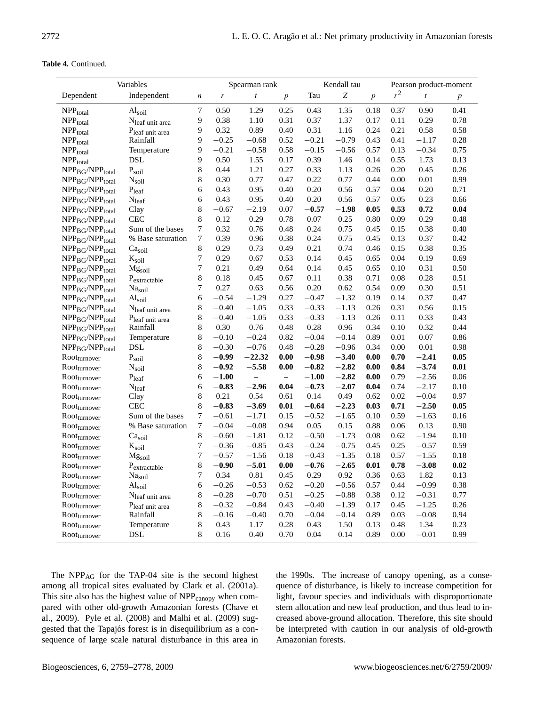## **Table 4.** Continued.

| Variables                                                                                      |                              |                  |         | Spearman rank    |                  |         | Kendall tau |                | Pearson product-moment |                  |                |  |
|------------------------------------------------------------------------------------------------|------------------------------|------------------|---------|------------------|------------------|---------|-------------|----------------|------------------------|------------------|----------------|--|
| Dependent                                                                                      | Independent                  | $\boldsymbol{n}$ | r       | $\boldsymbol{t}$ | $\boldsymbol{p}$ | Tau     | Z           | $\overline{p}$ | $r^2$                  | $\boldsymbol{t}$ | $\overline{p}$ |  |
| NPP <sub>total</sub>                                                                           | Al <sub>soil</sub>           | $\tau$           | 0.50    | 1.29             | 0.25             | 0.43    | 1.35        | 0.18           | 0.37                   | 0.90             | 0.41           |  |
| $\ensuremath{\mathsf{NPP}_{\text{total}}}$                                                     | N <sub>leaf</sub> unit area  | 9                | 0.38    | 1.10             | 0.31             | 0.37    | 1.37        | 0.17           | 0.11                   | 0.29             | 0.78           |  |
| $\ensuremath{\mathsf{NPP}_{\text{total}}}$                                                     | Pleaf unit area              | 9                | 0.32    | 0.89             | 0.40             | 0.31    | 1.16        | 0.24           | 0.21                   | 0.58             | 0.58           |  |
| $\ensuremath{\mathsf{NPP}_{\text{total}}}$                                                     | Rainfall                     | 9                | $-0.25$ | $-0.68$          | 0.52             | $-0.21$ | $-0.79$     | 0.43           | 0.41                   | $-1.17$          | 0.28           |  |
| $\ensuremath{\mathsf{NPP}_{\text{total}}}$                                                     | Temperature                  | 9                | $-0.21$ | $-0.58$          | 0.58             | $-0.15$ | $-0.56$     | 0.57           | 0.13                   | $-0.34$          | 0.75           |  |
| $\ensuremath{\mathsf{NPP}_{\text{total}}}$                                                     | <b>DSL</b>                   | 9                | 0.50    | 1.55             | 0.17             | 0.39    | 1.46        | 0.14           | 0.55                   | 1.73             | 0.13           |  |
| NPP <sub>BG</sub> /NPP <sub>total</sub>                                                        | P <sub>soil</sub>            | 8                | 0.44    | 1.21             | 0.27             | 0.33    | 1.13        | 0.26           | 0.20                   | 0.45             | 0.26           |  |
| NPP <sub>BG</sub> /NPP <sub>total</sub>                                                        | $N_{\rm soil}$               | 8                | 0.30    | 0.77             | 0.47             | 0.22    | 0.77        | 0.44           | 0.00                   | 0.01             | 0.99           |  |
| NPP <sub>BG</sub> /NPP <sub>total</sub>                                                        | $\mathbf{P}_{leaf}$          | 6                | 0.43    | 0.95             | 0.40             | 0.20    | 0.56        | 0.57           | 0.04                   | 0.20             | 0.71           |  |
| NPP <sub>BG</sub> /NPP <sub>total</sub>                                                        | $N_{leaf}$                   | 6                | 0.43    | 0.95             | 0.40             | 0.20    | 0.56        | 0.57           | 0.05                   | 0.23             | 0.66           |  |
| NPP <sub>BG</sub> /NPP <sub>total</sub>                                                        | Clay                         | $\,$ 8 $\,$      | $-0.67$ | $-2.19$          | 0.07             | $-0.57$ | $-1.98$     | 0.05           | 0.53                   | 0.72             | 0.04           |  |
| NPP <sub>BG</sub> /NPP <sub>total</sub>                                                        | <b>CEC</b>                   | $\,$ 8 $\,$      | 0.12    | 0.29             | 0.78             | 0.07    | 0.25        | 0.80           | 0.09                   | 0.29             | 0.48           |  |
| NPP <sub>BG</sub> /NPP <sub>total</sub>                                                        | Sum of the bases             | $\overline{7}$   | 0.32    | 0.76             | 0.48             | 0.24    | 0.75        | 0.45           | 0.15                   | 0.38             | 0.40           |  |
| NPP <sub>BG</sub> /NPP <sub>total</sub>                                                        | % Base saturation            | 7                | 0.39    | 0.96             | 0.38             | 0.24    | 0.75        | 0.45           | 0.13                   | 0.37             | 0.42           |  |
| NPP <sub>BG</sub> /NPP <sub>total</sub>                                                        | Ca <sub>soil</sub>           | 8                | 0.29    | 0.73             | 0.49             | 0.21    | 0.74        | 0.46           | 0.15                   | 0.38             | 0.35           |  |
| NPP <sub>BG</sub> /NPP <sub>total</sub>                                                        | $K_{\text{soil}}$            | 7                | 0.29    | 0.67             | 0.53             | 0.14    | 0.45        | 0.65           | 0.04                   | 0.19             | 0.69           |  |
| NPP <sub>BG</sub> /NPP <sub>total</sub>                                                        | Mg <sub>soil</sub>           | 7                | 0.21    | 0.49             | 0.64             | 0.14    | 0.45        | 0.65           | 0.10                   | 0.31             | 0.50           |  |
| NPP <sub>BG</sub> /NPP <sub>total</sub>                                                        | $P_{\text{extractable}}$     | $\,8\,$          | 0.18    | 0.45             | 0.67             | 0.11    | 0.38        | 0.71           | 0.08                   | 0.28             | 0.51           |  |
| NPP <sub>BG</sub> /NPP <sub>total</sub>                                                        | Na <sub>soil</sub>           | 7                | 0.27    | 0.63             | 0.56             | 0.20    | 0.62        | 0.54           | 0.09                   | 0.30             | 0.51           |  |
| NPP <sub>BG</sub> /NPP <sub>total</sub>                                                        | Al <sub>soil</sub>           | 6                | $-0.54$ | $-1.29$          | 0.27             | $-0.47$ | $-1.32$     | 0.19           | 0.14                   | 0.37             | 0.47           |  |
| NPP <sub>BG</sub> /NPP <sub>total</sub>                                                        | N <sub>leaf</sub> unit area  | $\,$ 8 $\,$      | $-0.40$ | $-1.05$          | 0.33             | $-0.33$ | $-1.13$     | 0.26           | 0.31                   | 0.56             | 0.15           |  |
| NPP <sub>BG</sub> /NPP <sub>total</sub>                                                        | Pleaf unit area              | 8                | $-0.40$ | $-1.05$          | 0.33             | $-0.33$ | $-1.13$     | 0.26           | 0.11                   | 0.33             | 0.43           |  |
| NPP <sub>BG</sub> /NPP <sub>total</sub>                                                        | Rainfall                     | 8                | 0.30    | 0.76             | 0.48             | 0.28    | 0.96        | 0.34           | 0.10                   | 0.32             | 0.44           |  |
| $\ensuremath{\mathsf{NPP}_{\text{BG}}}\xspace/\ensuremath{\mathsf{NPP}_{\text{total}}}\xspace$ | Temperature                  | 8                | $-0.10$ | $-0.24$          | 0.82             | $-0.04$ | $-0.14$     | 0.89           | 0.01                   | 0.07             | 0.86           |  |
| NPP <sub>BG</sub> /NPP <sub>total</sub>                                                        | <b>DSL</b>                   | 8                | $-0.30$ | $-0.76$          | 0.48             | $-0.28$ | $-0.96$     | 0.34           | 0.00                   | 0.01             | 0.98           |  |
| Rootturnover                                                                                   | $\mathrm{P}_{\mathrm{soil}}$ | 8                | $-0.99$ | $-22.32$         | 0.00             | $-0.98$ | $-3.40$     | 0.00           | 0.70                   | $-2.41$          | 0.05           |  |
| Rootturnover                                                                                   | $N_{\text{soil}}$            | 8                | $-0.92$ | $-5.58$          | 0.00             | $-0.82$ | $-2.82$     | 0.00           | 0.84                   | $-3.74$          | 0.01           |  |
| Rootturnover                                                                                   | $P_{leaf}$                   | 6                | $-1.00$ | $\equiv$         | $\equiv$         | $-1.00$ | $-2.82$     | 0.00           | 0.79                   | $-2.56$          | 0.06           |  |
| Rootturnover                                                                                   | N <sub>leaf</sub>            | 6                | $-0.83$ | $-2.96$          | 0.04             | $-0.73$ | $-2.07$     | 0.04           | 0.74                   | $-2.17$          | 0.10           |  |
| Rootturnover                                                                                   | Clay                         | 8                | 0.21    | 0.54             | 0.61             | 0.14    | 0.49        | 0.62           | 0.02                   | $-0.04$          | 0.97           |  |
| Rootturnover                                                                                   | <b>CEC</b>                   | 8                | $-0.83$ | $-3.69$          | 0.01             | $-0.64$ | $-2.23$     | 0.03           | 0.71                   | $-2.50$          | 0.05           |  |
| Rootturnover                                                                                   | Sum of the bases             | 7                | $-0.61$ | $-1.71$          | 0.15             | $-0.52$ | $-1.65$     | 0.10           | 0.59                   | $-1.63$          | 0.16           |  |
| Rootturnover                                                                                   | % Base saturation            | 7                | $-0.04$ | $-0.08$          | 0.94             | 0.05    | 0.15        | 0.88           | 0.06                   | 0.13             | 0.90           |  |
| Rootturnover                                                                                   | Ca <sub>soil</sub>           | 8                | $-0.60$ | $-1.81$          | 0.12             | $-0.50$ | $-1.73$     | 0.08           | 0.62                   | $-1.94$          | 0.10           |  |
| Rootturnover                                                                                   | $K_{\text{soil}}$            | 7                | $-0.36$ | $-0.85$          | 0.43             | $-0.24$ | $-0.75$     | 0.45           | 0.25                   | $-0.57$          | 0.59           |  |
| Root <sub>turnover</sub>                                                                       | Mgsoil                       | 7                | $-0.57$ | $-1.56$          | 0.18             | $-0.43$ | $-1.35$     | 0.18           | 0.57                   | $-1.55$          | 0.18           |  |
| Rootturnover                                                                                   | $P_{\text{extractable}}$     | $\,8\,$          | $-0.90$ | $-5.01$          | 0.00             | $-0.76$ | $-2.65$     | 0.01           | 0.78                   | $-3.08$          | $0.02\,$       |  |
| Rootturnover                                                                                   | Nasoil                       | 7                | 0.34    | 0.81             | 0.45             | 0.29    | 0.92        | 0.36           | 0.63                   | 1.82             | 0.13           |  |
| $Root_{turnover}$                                                                              | Al <sub>soil</sub>           | 6                | $-0.26$ | $-0.53$          | 0.62             | $-0.20$ | $-0.56$     | 0.57           | 0.44                   | $-0.99$          | 0.38           |  |
| Rootturnover                                                                                   | N <sub>leaf</sub> unit area  | 8                | $-0.28$ | $-0.70$          | 0.51             | $-0.25$ | $-0.88$     | 0.38           | 0.12                   | $-0.31$          | 0.77           |  |
| Root <sub>turnover</sub>                                                                       | Pleaf unit area              | 8                | $-0.32$ | $-0.84$          | 0.43             | $-0.40$ | $-1.39$     | 0.17           | 0.45                   | $-1.25$          | 0.26           |  |
| Rootturnover                                                                                   | Rainfall                     | 8                | $-0.16$ | $-0.40$          | 0.70             | $-0.04$ | $-0.14$     | 0.89           | 0.03                   | $-0.08$          | 0.94           |  |
| Root <sub>turnover</sub>                                                                       | Temperature                  | 8                | 0.43    | 1.17             | 0.28             | 0.43    | 1.50        | 0.13           | 0.48                   | 1.34             | 0.23           |  |
| Rootturnover                                                                                   | DSL                          | 8                | 0.16    | 0.40             | 0.70             | 0.04    | 0.14        | 0.89           | 0.00                   | $-0.01$          | 0.99           |  |

The NPP<sub>AG</sub> for the TAP-04 site is the second highest among all tropical sites evaluated by Clark et al. (2001a). This site also has the highest value of NPP<sub>canopy</sub> when compared with other old-growth Amazonian forests (Chave et al., 2009). Pyle et al. (2008) and Malhi et al. (2009) suggested that the Tapajós forest is in disequilibrium as a consequence of large scale natural disturbance in this area in the 1990s. The increase of canopy opening, as a consequence of disturbance, is likely to increase competition for light, favour species and individuals with disproportionate stem allocation and new leaf production, and thus lead to increased above-ground allocation. Therefore, this site should be interpreted with caution in our analysis of old-growth Amazonian forests.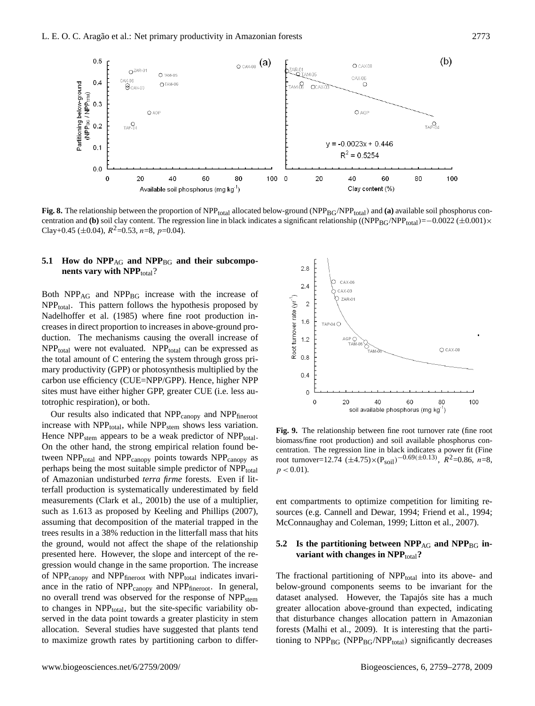

**Fig. 8.** The relationship between the proportion of NPP<sub>total</sub> allocated below-ground (NPP<sub>BG</sub>/NPP<sub>total</sub>) and (a) available soil phosphorus concentration and **(b)** soil clay content. The regression line in black indicates a significant relationship ((NPP<sub>BG</sub>/NPP<sub>total</sub>)=−0.0022 (±0.001)× Clay+0.45 ( $\pm$ 0.04),  $R^2$ =0.53, n=8, p=0.04).

## 5.1 How do NPP<sub>AG</sub> and NPP<sub>BG</sub> and their subcompo**nents vary with NPP**<sub>total</sub>?

Both NPP<sub>AG</sub> and NPP<sub>BG</sub> increase with the increase of  $NPP_{total}$ . This pattern follows the hypothesis proposed by Nadelhoffer et al. (1985) where fine root production increases in direct proportion to increases in above-ground production. The mechanisms causing the overall increase of  $NPP<sub>total</sub>$  were not evaluated.  $NPP<sub>total</sub>$  can be expressed as the total amount of C entering the system through gross primary productivity (GPP) or photosynthesis multiplied by the carbon use efficiency (CUE=NPP/GPP). Hence, higher NPP sites must have either higher GPP, greater CUE (i.e. less autotrophic respiration), or both.

Our results also indicated that NPP<sub>canopy</sub> and NPP<sub>fineroot</sub> increase with  $NPP_{total}$ , while  $NPP_{stem}$  shows less variation. Hence NPP<sub>stem</sub> appears to be a weak predictor of NPP<sub>total</sub>. On the other hand, the strong empirical relation found between  $NPP_{total}$  and  $NPP_{canopy}$  points towards  $NPP_{canopy}$  as perhaps being the most suitable simple predictor of NPP<sub>total</sub> of Amazonian undisturbed *terra firme* forests. Even if litterfall production is systematically underestimated by field measurements (Clark et al., 2001b) the use of a multiplier, such as 1.613 as proposed by Keeling and Phillips (2007), assuming that decomposition of the material trapped in the trees results in a 38% reduction in the litterfall mass that hits the ground, would not affect the shape of the relationship presented here. However, the slope and intercept of the regression would change in the same proportion. The increase of  $NPP_{\text{canopy}}$  and  $NPP_{\text{fineroot}}$  with  $NPP_{\text{total}}$  indicates invariance in the ratio of NPP<sub>canopy</sub> and NPP<sub>fineroot</sub>. In general, no overall trend was observed for the response of NPP<sub>stem</sub> to changes in NPP<sub>total</sub>, but the site-specific variability observed in the data point towards a greater plasticity in stem allocation. Several studies have suggested that plants tend to maximize growth rates by partitioning carbon to differ-



**Fig. 9.** The relationship between fine root turnover rate (fine root biomass/fine root production) and soil available phosphorus concentration. The regression line in black indicates a power fit (Fine root turnover=12.74  $(\pm 4.75) \times (P_{\text{soil}})^{-0.69(\pm 0.13)}$ ,  $R^2$ =0.86, n=8,  $p < 0.01$ ).

ent compartments to optimize competition for limiting resources (e.g. Cannell and Dewar, 1994; Friend et al., 1994; McConnaughay and Coleman, 1999; Litton et al., 2007).

# 5.2 Is the partitioning between NPP<sub>AG</sub> and NPP<sub>BG</sub> in**variant with changes in NPP**<sub>total</sub>?

The fractional partitioning of  $NPP_{total}$  into its above- and below-ground components seems to be invariant for the dataset analysed. However, the Tapajós site has a much greater allocation above-ground than expected, indicating that disturbance changes allocation pattern in Amazonian forests (Malhi et al., 2009). It is interesting that the partitioning to  $NPP_{BG}$  ( $NPP_{BG}/NPP_{total}$ ) significantly decreases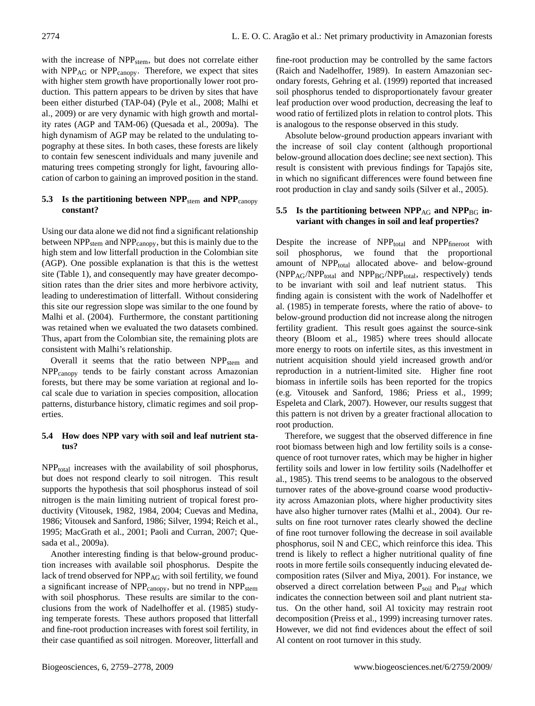with the increase of NPP<sub>stem</sub>, but does not correlate either with  $NPP_{AG}$  or  $NPP_{canopy}$ . Therefore, we expect that sites with higher stem growth have proportionally lower root production. This pattern appears to be driven by sites that have been either disturbed (TAP-04) (Pyle et al., 2008; Malhi et al., 2009) or are very dynamic with high growth and mortality rates (AGP and TAM-06) (Quesada et al., 2009a). The high dynamism of AGP may be related to the undulating topography at these sites. In both cases, these forests are likely to contain few senescent individuals and many juvenile and maturing trees competing strongly for light, favouring allocation of carbon to gaining an improved position in the stand.

## **5.3** Is the partitioning between NPP<sub>stem</sub> and NPP<sub>canopy</sub> **constant?**

Using our data alone we did not find a significant relationship between  $NPP<sub>stem</sub>$  and  $NPP<sub>canopy</sub>$ , but this is mainly due to the high stem and low litterfall production in the Colombian site (AGP). One possible explanation is that this is the wettest site (Table 1), and consequently may have greater decomposition rates than the drier sites and more herbivore activity, leading to underestimation of litterfall. Without considering this site our regression slope was similar to the one found by Malhi et al. (2004). Furthermore, the constant partitioning was retained when we evaluated the two datasets combined. Thus, apart from the Colombian site, the remaining plots are consistent with Malhi's relationship.

Overall it seems that the ratio between  $NPP<sub>stem</sub>$  and NPPcanopy tends to be fairly constant across Amazonian forests, but there may be some variation at regional and local scale due to variation in species composition, allocation patterns, disturbance history, climatic regimes and soil properties.

# **5.4 How does NPP vary with soil and leaf nutrient status?**

 $NPP_{total}$  increases with the availability of soil phosphorus, but does not respond clearly to soil nitrogen. This result supports the hypothesis that soil phosphorus instead of soil nitrogen is the main limiting nutrient of tropical forest productivity (Vitousek, 1982, 1984, 2004; Cuevas and Medina, 1986; Vitousek and Sanford, 1986; Silver, 1994; Reich et al., 1995; MacGrath et al., 2001; Paoli and Curran, 2007; Quesada et al., 2009a).

Another interesting finding is that below-ground production increases with available soil phosphorus. Despite the lack of trend observed for NPP<sub>AG</sub> with soil fertility, we found a significant increase of NPP<sub>canopy</sub>, but no trend in NPP<sub>stem</sub> with soil phosphorus. These results are similar to the conclusions from the work of Nadelhoffer et al. (1985) studying temperate forests. These authors proposed that litterfall and fine-root production increases with forest soil fertility, in their case quantified as soil nitrogen. Moreover, litterfall and

fine-root production may be controlled by the same factors (Raich and Nadelhoffer, 1989). In eastern Amazonian secondary forests, Gehring et al. (1999) reported that increased soil phosphorus tended to disproportionately favour greater leaf production over wood production, decreasing the leaf to wood ratio of fertilized plots in relation to control plots. This is analogous to the response observed in this study.

Absolute below-ground production appears invariant with the increase of soil clay content (although proportional below-ground allocation does decline; see next section). This result is consistent with previous findings for Tapajós site, in which no significant differences were found between fine root production in clay and sandy soils (Silver et al., 2005).

# 5.5 Is the partitioning between NPP<sub>AG</sub> and NPP<sub>BG</sub> in**variant with changes in soil and leaf properties?**

Despite the increase of  $NPP_{total}$  and  $NPP_{fineroot}$  with soil phosphorus, we found that the proportional amount of NPP<sub>total</sub> allocated above- and below-ground  $(NPP<sub>AG</sub>/NPP<sub>total</sub>$  and  $NPP<sub>BG</sub>/NPP<sub>total</sub>$ , respectively) tends to be invariant with soil and leaf nutrient status. This finding again is consistent with the work of Nadelhoffer et al. (1985) in temperate forests, where the ratio of above- to below-ground production did not increase along the nitrogen fertility gradient. This result goes against the source-sink theory (Bloom et al., 1985) where trees should allocate more energy to roots on infertile sites, as this investment in nutrient acquisition should yield increased growth and/or reproduction in a nutrient-limited site. Higher fine root biomass in infertile soils has been reported for the tropics (e.g. Vitousek and Sanford, 1986; Priess et al., 1999; Espeleta and Clark, 2007). However, our results suggest that this pattern is not driven by a greater fractional allocation to root production.

Therefore, we suggest that the observed difference in fine root biomass between high and low fertility soils is a consequence of root turnover rates, which may be higher in higher fertility soils and lower in low fertility soils (Nadelhoffer et al., 1985). This trend seems to be analogous to the observed turnover rates of the above-ground coarse wood productivity across Amazonian plots, where higher productivity sites have also higher turnover rates (Malhi et al., 2004). Our results on fine root turnover rates clearly showed the decline of fine root turnover following the decrease in soil available phosphorus, soil N and CEC, which reinforce this idea. This trend is likely to reflect a higher nutritional quality of fine roots in more fertile soils consequently inducing elevated decomposition rates (Silver and Miya, 2001). For instance, we observed a direct correlation between P<sub>soil</sub> and P<sub>leaf</sub> which indicates the connection between soil and plant nutrient status. On the other hand, soil Al toxicity may restrain root decomposition (Preiss et al., 1999) increasing turnover rates. However, we did not find evidences about the effect of soil Al content on root turnover in this study.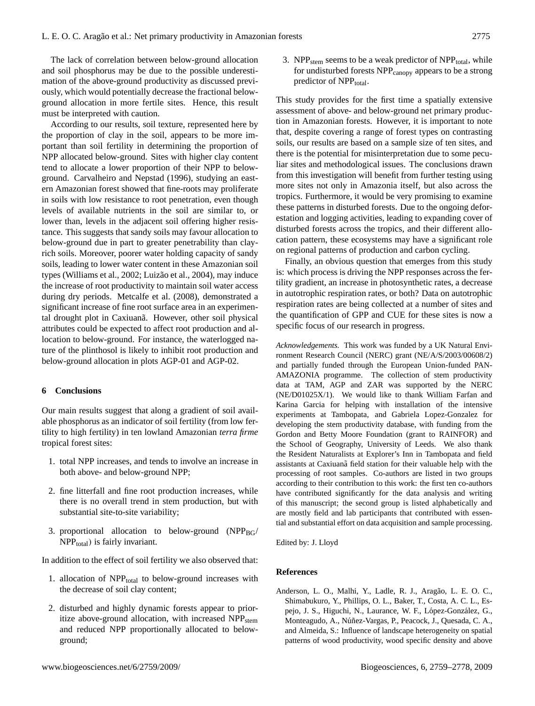The lack of correlation between below-ground allocation and soil phosphorus may be due to the possible underestimation of the above-ground productivity as discussed previously, which would potentially decrease the fractional belowground allocation in more fertile sites. Hence, this result must be interpreted with caution.

According to our results, soil texture, represented here by the proportion of clay in the soil, appears to be more important than soil fertility in determining the proportion of NPP allocated below-ground. Sites with higher clay content tend to allocate a lower proportion of their NPP to belowground. Carvalheiro and Nepstad (1996), studying an eastern Amazonian forest showed that fine-roots may proliferate in soils with low resistance to root penetration, even though levels of available nutrients in the soil are similar to, or lower than, levels in the adjacent soil offering higher resistance. This suggests that sandy soils may favour allocation to below-ground due in part to greater penetrability than clayrich soils. Moreover, poorer water holding capacity of sandy soils, leading to lower water content in these Amazonian soil types (Williams et al., 2002; Luizão et al., 2004), may induce the increase of root productivity to maintain soil water access during dry periods. Metcalfe et al. (2008), demonstrated a significant increase of fine root surface area in an experimental drought plot in Caxiuanã. However, other soil physical attributes could be expected to affect root production and allocation to below-ground. For instance, the waterlogged nature of the plinthosol is likely to inhibit root production and below-ground allocation in plots AGP-01 and AGP-02.

## **6 Conclusions**

Our main results suggest that along a gradient of soil available phosphorus as an indicator of soil fertility (from low fertility to high fertility) in ten lowland Amazonian *terra firme* tropical forest sites:

- 1. total NPP increases, and tends to involve an increase in both above- and below-ground NPP;
- 2. fine litterfall and fine root production increases, while there is no overall trend in stem production, but with substantial site-to-site variability;
- 3. proportional allocation to below-ground  $(NPP_{BG}/$  $NPP<sub>total</sub>$ ) is fairly invariant.

In addition to the effect of soil fertility we also observed that:

- 1. allocation of NPP<sub>total</sub> to below-ground increases with the decrease of soil clay content;
- 2. disturbed and highly dynamic forests appear to prioritize above-ground allocation, with increased NPP<sub>stem</sub> and reduced NPP proportionally allocated to belowground;

3. NPP<sub>stem</sub> seems to be a weak predictor of NPP<sub>total</sub>, while for undisturbed forests NPP<sub>canopy</sub> appears to be a strong predictor of NPP<sub>total</sub>.

This study provides for the first time a spatially extensive assessment of above- and below-ground net primary production in Amazonian forests. However, it is important to note that, despite covering a range of forest types on contrasting soils, our results are based on a sample size of ten sites, and there is the potential for misinterpretation due to some peculiar sites and methodological issues. The conclusions drawn from this investigation will benefit from further testing using more sites not only in Amazonia itself, but also across the tropics. Furthermore, it would be very promising to examine these patterns in disturbed forests. Due to the ongoing deforestation and logging activities, leading to expanding cover of disturbed forests across the tropics, and their different allocation pattern, these ecosystems may have a significant role on regional patterns of production and carbon cycling.

Finally, an obvious question that emerges from this study is: which process is driving the NPP responses across the fertility gradient, an increase in photosynthetic rates, a decrease in autotrophic respiration rates, or both? Data on autotrophic respiration rates are being collected at a number of sites and the quantification of GPP and CUE for these sites is now a specific focus of our research in progress.

*Acknowledgements.* This work was funded by a UK Natural Environment Research Council (NERC) grant (NE/A/S/2003/00608/2) and partially funded through the European Union-funded PAN-AMAZONIA programme. The collection of stem productivity data at TAM, AGP and ZAR was supported by the NERC (NE/D01025X/1). We would like to thank William Farfan and Karina Garcia for helping with installation of the intensive experiments at Tambopata, and Gabriela Lopez-Gonzalez for developing the stem productivity database, with funding from the Gordon and Betty Moore Foundation (grant to RAINFOR) and the School of Geography, University of Leeds. We also thank the Resident Naturalists at Explorer's Inn in Tambopata and field assistants at Caxiuana field station for their valuable help with the processing of root samples. Co-authors are listed in two groups according to their contribution to this work: the first ten co-authors have contributed significantly for the data analysis and writing of this manuscript; the second group is listed alphabetically and are mostly field and lab participants that contributed with essential and substantial effort on data acquisition and sample processing.

Edited by: J. Lloyd

## **References**

Anderson, L. O., Malhi, Y., Ladle, R. J., Aragão, L. E. O. C., Shimabukuro, Y., Phillips, O. L., Baker, T., Costa, A. C. L., Espejo, J. S., Higuchi, N., Laurance, W. F., López-González, G., Monteagudo, A., Núñez-Vargas, P., Peacock, J., Quesada, C. A., and Almeida, S.: Influence of landscape heterogeneity on spatial patterns of wood productivity, wood specific density and above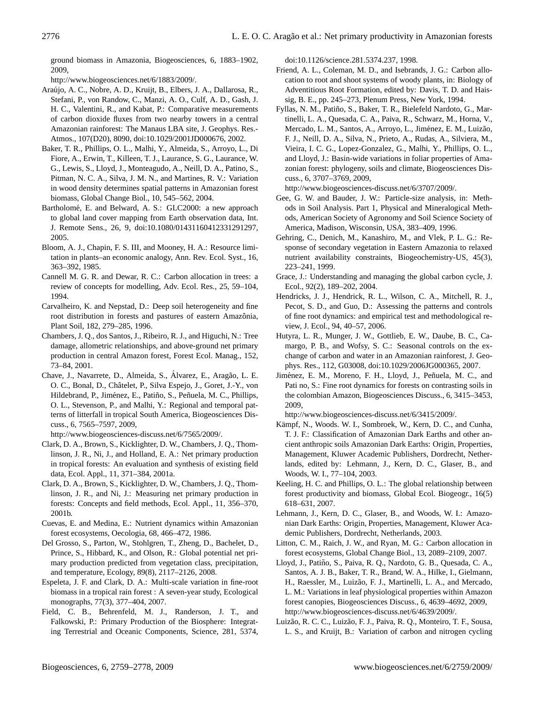ground biomass in Amazonia, Biogeosciences, 6, 1883–1902, 2009,

[http://www.biogeosciences.net/6/1883/2009/.](http://www.biogeosciences.net/6/1883/2009/)

- Araujo, A. C., Nobre, A. D., Kruijt, B., Elbers, J. A., Dallarosa, R., ´ Stefani, P., von Randow, C., Manzi, A. O., Culf, A. D., Gash, J. H. C., Valentini, R., and Kabat, P.: Comparative measurements of carbon dioxide fluxes from two nearby towers in a central Amazonian rainforest: The Manaus LBA site, J. Geophys. Res.- Atmos., 107(D20), 8090, doi:10.1029/2001JD000676, 2002.
- Baker, T. R., Phillips, O. L., Malhi, Y., Almeida, S., Arroyo, L., Di Fiore, A., Erwin, T., Killeen, T. J., Laurance, S. G., Laurance, W. G., Lewis, S., Lloyd, J., Monteagudo, A., Neill, D. A., Patino, S., Pitman, N. C. A., Silva, J. M. N., and Martines, R. V.: Variation in wood density determines spatial patterns in Amazonian forest biomass, Global Change Biol., 10, 545–562, 2004.
- Bartholomé, E. and Belward, A. S.: GLC2000: a new approach to global land cover mapping from Earth observation data, Int. J. Remote Sens., 26, 9, doi:10.1080/01431160412331291297, 2005.
- Bloom, A. J., Chapin, F. S. III, and Mooney, H. A.: Resource limitation in plants–an economic analogy, Ann. Rev. Ecol. Syst., 16, 363–392, 1985.
- Cannell M. G. R. and Dewar, R. C.: Carbon allocation in trees: a review of concepts for modelling, Adv. Ecol. Res., 25, 59–104, 1994.
- Carvalheiro, K. and Nepstad, D.: Deep soil heterogeneity and fine root distribution in forests and pastures of eastern Amazônia, Plant Soil, 182, 279–285, 1996.
- Chambers, J. Q., dos Santos, J., Ribeiro, R. J., and Higuchi, N.: Tree damage, allometric relationships, and above-ground net primary production in central Amazon forest, Forest Ecol. Manag., 152, 73–84, 2001.
- Chave, J., Navarrete, D., Almeida, S., Álvarez, E., Aragão, L. E. O. C., Bonal, D., Châtelet, P., Silva Espejo, J., Goret, J.-Y., von Hildebrand, P., Jiménez, E., Patiño, S., Peñuela, M. C., Phillips, O. L., Stevenson, P., and Malhi, Y.: Regional and temporal patterns of litterfall in tropical South America, Biogeosciences Discuss., 6, 7565–7597, 2009,

[http://www.biogeosciences-discuss.net/6/7565/2009/.](http://www.biogeosciences-discuss.net/6/7565/2009/)

- Clark, D. A., Brown, S., Kicklighter, D. W., Chambers, J. Q., Thomlinson, J. R., Ni, J., and Holland, E. A.: Net primary production in tropical forests: An evaluation and synthesis of existing field data, Ecol. Appl., 11, 371–384, 2001a.
- Clark, D. A., Brown, S., Kicklighter, D. W., Chambers, J. Q., Thomlinson, J. R., and Ni, J.: Measuring net primary production in forests: Concepts and field methods, Ecol. Appl., 11, 356–370, 2001b.
- Cuevas, E. and Medina, E.: Nutrient dynamics within Amazonian forest ecosystems, Oecologia, 68, 466–472, 1986.
- Del Grosso, S., Parton, W., Stohlgren, T., Zheng, D., Bachelet, D., Prince, S., Hibbard, K., and Olson, R.: Global potential net primary production predicted from vegetation class, precipitation, and temperature, Ecology, 89(8), 2117–2126, 2008.
- Espeleta, J. F. and Clark, D. A.: Multi-scale variation in fine-root biomass in a tropical rain forest : A seven-year study, Ecological monographs, 77(3), 377–404, 2007.
- Field, C. B., Behrenfeld, M. J., Randerson, J. T., and Falkowski, P.: Primary Production of the Biosphere: Integrating Terrestrial and Oceanic Components, Science, 281, 5374,

doi:10.1126/science.281.5374.237, 1998.

- Friend, A. L., Coleman, M. D., and Isebrands, J. G.: Carbon allocation to root and shoot systems of woody plants, in: Biology of Adventitious Root Formation, edited by: Davis, T. D. and Haissig, B. E., pp. 245–273, Plenum Press, New York, 1994.
- Fyllas, N. M., Patiño, S., Baker, T. R., Bielefeld Nardoto, G., Martinelli, L. A., Quesada, C. A., Paiva, R., Schwarz, M., Horna, V., Mercado, L. M., Santos, A., Arroyo, L., Jiménez, E. M., Luizão, F. J., Neill, D. A., Silva, N., Prieto, A., Rudas, A., Silviera, M., Vieira, I. C. G., Lopez-Gonzalez, G., Malhi, Y., Phillips, O. L., and Lloyd, J.: Basin-wide variations in foliar properties of Amazonian forest: phylogeny, soils and climate, Biogeosciences Discuss., 6, 3707–3769, 2009,

[http://www.biogeosciences-discuss.net/6/3707/2009/.](http://www.biogeosciences-discuss.net/6/3707/2009/)

- Gee, G. W. and Bauder, J. W.: Particle-size analysis, in: Methods in Soil Analysis. Part 1, Physical and Mineralogical Methods, American Society of Agronomy and Soil Science Society of America, Madison, Wisconsin, USA, 383–409, 1996.
- Gehring, C., Denich, M., Kanashiro, M., and Vlek, P. L. G.: Response of secondary vegetation in Eastern Amazonia to relaxed nutrient availability constraints, Biogeochemistry-US, 45(3), 223–241, 1999.
- Grace, J.: Understanding and managing the global carbon cycle, J. Ecol., 92(2), 189–202, 2004.
- Hendricks, J. J., Hendrick, R. L., Wilson, C. A., Mitchell, R. J., Pecot, S. D., and Guo, D.: Assessing the patterns and controls of fine root dynamics: and empirical test and methodological review, J. Ecol., 94, 40–57, 2006.
- Hutyra, L. R., Munger, J. W., Gottlieb, E. W., Daube, B. C., Camargo, P. B., and Wofsy, S. C.: Seasonal controls on the exchange of carbon and water in an Amazonian rainforest, J. Geophys. Res., 112, G03008, doi:10.1029/2006JG000365, 2007.
- Jiménez, E. M., Moreno, F. H., Lloyd, J., Peñuela, M. C., and Pati no, S.: Fine root dynamics for forests on contrasting soils in the colombian Amazon, Biogeosciences Discuss., 6, 3415–3453, 2009,

[http://www.biogeosciences-discuss.net/6/3415/2009/.](http://www.biogeosciences-discuss.net/6/3415/2009/)

- Kämpf, N., Woods. W. I., Sombroek, W., Kern, D. C., and Cunha, T. J. F.: Classification of Amazonian Dark Earths and other ancient anthropic soils Amazonian Dark Earths: Origin, Properties, Management, Kluwer Academic Publishers, Dordrecht, Netherlands, edited by: Lehmann, J., Kern, D. C., Glaser, B., and Woods, W. I., 77–104, 2003.
- Keeling, H. C. and Phillips, O. L.: The global relationship between forest productivity and biomass, Global Ecol. Biogeogr., 16(5) 618–631, 2007.
- Lehmann, J., Kern, D. C., Glaser, B., and Woods, W. I.: Amazonian Dark Earths: Origin, Properties, Management, Kluwer Academic Publishers, Dordrecht, Netherlands, 2003.
- Litton, C. M., Raich, J. W., and Ryan, M. G.: Carbon allocation in forest ecosystems, Global Change Biol., 13, 2089–2109, 2007.
- Lloyd, J., Patiño, S., Paiva, R. Q., Nardoto, G. B., Quesada, C. A., Santos, A. J. B., Baker, T. R., Brand, W. A., Hilke, I., Gielmann, H., Raessler, M., Luizão, F. J., Martinelli, L. A., and Mercado, L. M.: Variations in leaf physiological properties within Amazon forest canopies, Biogeosciences Discuss., 6, 4639–4692, 2009, [http://www.biogeosciences-discuss.net/6/4639/2009/.](http://www.biogeosciences-discuss.net/6/4639/2009/)
- Luizão, R. C. C., Luizão, F. J., Paiva, R. Q., Monteiro, T. F., Sousa, L. S., and Kruijt, B.: Variation of carbon and nitrogen cycling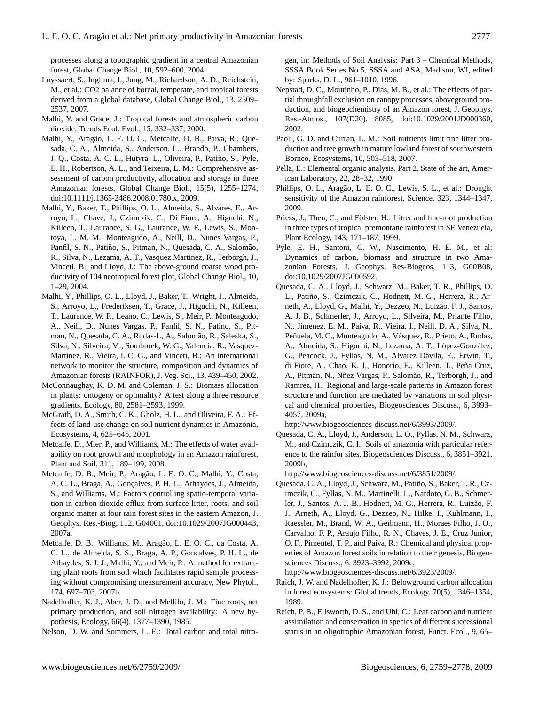processes along a topographic gradient in a central Amazonian forest, Global Change Biol., 10, 592–600, 2004.

- Luyssaert, S., Inglima, I., Jung, M., Richardson, A. D., Reichstein, M., et al.: CO2 balance of boreal, temperate, and tropical forests derived from a global database, Global Change Biol., 13, 2509– 2537, 2007.
- Malhi, Y. and Grace, J.: Tropical forests and atmospheric carbon dioxide, Trends Ecol. Evol., 15, 332–337, 2000.
- Malhi, Y., Aragão, L. E. O. C., Metcalfe, D. B., Paiva, R., Quesada, C. A., Almeida, S., Anderson, L., Brando, P., Chambers, J. Q., Costa, A. C. L., Hutyra, L., Oliveira, P., Patiño, S., Pyle, E. H., Robertson, A. L., and Teixeira, L. M.: Comprehensive assessment of carbon productivity, allocation and storage in three Amazonian forests, Global Change Biol., 15(5), 1255–1274, doi:10.1111/j.1365-2486.2008.01780.x, 2009.
- Malhi, Y., Baker, T., Phillips, O. L., Almeida, S., Alvares, E., Arroyo, L., Chave, J., Czimczik, C., Di Fiore, A., Higuchi, N., Killeen, T., Laurance, S. G., Laurance, W. F., Lewis, S., Montoya, L. M. M., Monteagudo, A., Neill, D., Nunes Vargas, P., Panfil, S. N., Patiño, S., Pitman, N., Quesada, C. A., Salomão, R., Silva, N., Lezama, A. T., Vasquez Martinez, R., Terborgh, J., Vinceti, B., and Lloyd, J.: The above-ground coarse wood productivity of 104 neotropical forest plot, Global Change Biol., 10, 1–29, 2004.
- Malhi, Y., Phillips, O. L., Lloyd, J., Baker, T., Wright, J., Almeida, S., Arroyo, L., Frederiksen, T., Grace, J., Higuchi, N., Killeen, T., Laurance, W. F., Leano, C., Lewis, S., Meir, P., Monteagudo, A., Neill, D., Nunes Vargas, P., Panfil, S. N., Patino, S., Pitman, N., Quesada, C. A., Rudas-L, A., Salomão, R., Saleska, S., Silva, N., Silveira, M., Sombroek, W. G., Valencia, R., Vasquez-Martinez, R., Vieira, I. C. G., and Vinceti, B.: An international network to monitor the structure, composition and dynamics of Amazonian forests (RAINFOR), J. Veg. Sci., 13, 439–450, 2002.
- McConnaughay, K. D. M. and Coleman, J. S.: Biomass allocation in plants: ontogeny or optimality? A test along a three resource gradients, Ecology, 80, 2581–2593, 1999.
- McGrath, D. A., Smith, C. K., Gholz, H. L., and Oliveira, F. A.: Effects of land-use change on soil nutrient dynamics in Amazonia, Ecosystems, 4, 625–645, 2001.
- Metcalfe, D., Mier, P., and Williams, M.: The effects of water availability on root growth and morphology in an Amazon rainforest, Plant and Soil, 311, 189–199, 2008.
- Metcalfe, D. B., Meir, P., Aragão, L. E. O. C., Malhi, Y., Costa, A. C. L., Braga, A., Gonçalves, P. H. L., Athaydes, J., Almeida, S., and Williams, M.: Factors controlling spatio-temporal variation in carbon dioxide efflux from surface litter, roots, and soil organic matter at four rain forest sites in the eastern Amazon, J. Geophys. Res.-Biog, 112, G04001, doi:10.1029/2007JG000443, 2007a.
- Metcalfe, D. B., Williams, M., Aragao, L. E. O. C., da Costa, A. ˜ C. L., de Almeida, S. S., Braga, A. P., Gonçalves, P. H. L., de Athaydes, S. J. J., Malhi, Y., and Meir, P.: A method for extracting plant roots from soil which facilitates rapid sample processing without compromising measurement accuracy, New Phytol., 174, 697–703, 2007b.
- Nadelhoffer, K. J., Aber, J. D., and Mellilo, J. M.: Fine roots, net primary production, and soil nitrogen availability: A new hypothesis, Ecology, 66(4), 1377–1390, 1985.

Nelson, D. W. and Sommers, L. E.: Total carbon and total nitro-

gen, in: Methods of Soil Analysis: Part 3 – Chemical Methods, SSSA Book Series No 5, SSSA and ASA, Madison, WI, edited by: Sparks, D. L., 961–1010, 1996.

- Nepstad, D. C., Moutinho, P., Dias, M. B., et al.: The effects of partial throughfall exclusion on canopy processes, aboveground production, and biogeochemistry of an Amazon forest, J. Geophys. Res.-Atmos., 107(D20), 8085, doi:10.1029/2001JD000360, 2002.
- Paoli, G. D. and Curran, L. M.: Soil nutrients limit fine litter production and tree growth in mature lowland forest of southwestern Borneo, Ecosystems, 10, 503–518, 2007.
- Pella, E.: Elemental organic analysis. Part 2. State of the art, American Laboratory, 22, 28–32, 1990.
- Phillips, O. L., Aragão, L. E. O. C., Lewis, S. L., et al.: Drought sensitivity of the Amazon rainforest, Science, 323, 1344–1347, 2009.
- Priess, J., Then, C., and Fölster, H.: Litter and fine-root production in three types of tropical premontane rainforest in SE Venezuela, Plant Ecology, 143, 171–187, 1999.
- Pyle, E. H., Santoni, G. W., Nascimento, H. E. M., et al: Dynamics of carbon, biomass and structure in two Amazonian Forests, J. Geophys. Res-Biogeos, 113, G00B08, doi:10.1029/2007JG000592.
- Quesada, C. A., Lloyd, J., Schwarz, M., Baker, T. R., Phillips, O. L., Patiño, S., Czimczik, C., Hodnett, M. G., Herrera, R., Arneth, A., Lloyd, G., Malhi, Y., Dezzeo, N., Luizão, F. J., Santos, A. J. B., Schmerler, J., Arroyo, L., Silveira, M., Priante Filho, N., Jimenez, E. M., Paiva, R., Vieira, I., Neill, D. A., Silva, N., Peñuela, M. C., Monteagudo, A., Vásquez, R., Prieto, A., Rudas, A., Almeida, S., Higuchi, N., Lezama, A. T., López-González, G., Peacock, J., Fyllas, N. M., Alvarez Dávila, E., Erwin, T., di Fiore, A., Chao, K. J., Honorio, E., Killeen, T., Peña Cruz, A., Pitman, N., Nñez Vargas, P., Salomão, R., Terborgh, J., and Ramrez, H.: Regional and large-scale patterns in Amazon forest structure and function are mediated by variations in soil physical and chemical properties, Biogeosciences Discuss., 6, 3993– 4057, 2009a,

[http://www.biogeosciences-discuss.net/6/3993/2009/.](http://www.biogeosciences-discuss.net/6/3993/2009/)

Quesada, C. A., Lloyd, J., Anderson, L. O., Fyllas, N. M., Schwarz, M., and Czimczik, C. I.: Soils of amazonia with particular reference to the rainfor sites, Biogeosciences Discuss., 6, 3851–3921, 2009b,

[http://www.biogeosciences-discuss.net/6/3851/2009/.](http://www.biogeosciences-discuss.net/6/3851/2009/)

Quesada, C. A., Lloyd, J., Schwarz, M., Patiño, S., Baker, T. R., Czimczik, C., Fyllas, N. M., Martinelli, L., Nardoto, G. B., Schmerler, J., Santos, A. J. B., Hodnett, M. G., Herrera, R., Luizão, F. J., Arneth, A., Lloyd, G., Dezzeo, N., Hilke, I., Kuhlmann, I., Raessler, M., Brand, W. A., Geilmann, H., Moraes Filho, J. O., Carvalho, F. P., Araujo Filho, R. N., Chaves, J. E., Cruz Junior, O. F., Pimentel, T. P., and Paiva, R.: Chemical and physical properties of Amazon forest soils in relation to their genesis, Biogeosciences Discuss., 6, 3923–3992, 2009c,

[http://www.biogeosciences-discuss.net/6/3923/2009/.](http://www.biogeosciences-discuss.net/6/3923/2009/)

- Raich, J. W. and Nadelhoffer, K. J.: Belowground carbon allocation in forest ecosystems: Global trends, Ecology, 70(5), 1346–1354, 1989.
- Reich, P. B., Ellsworth, D. S., and Uhl, C.: Leaf carbon and nutrient assimilation and conservation in species of different successional status in an oligotrophic Amazonian forest, Funct. Ecol., 9, 65–